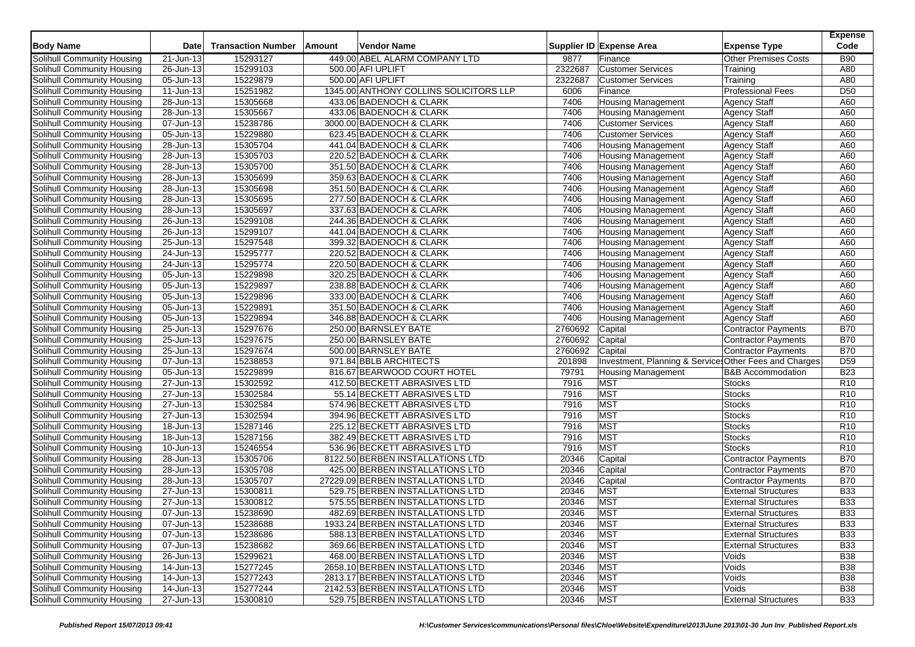| <b>Body Name</b>                  | <b>Date</b>             | <b>Transaction Number</b> | Amount | <b>Vendor Name</b>                     |         | Supplier ID Expense Area                              | <b>Expense Type</b>          | <b>Expense</b><br>Code |
|-----------------------------------|-------------------------|---------------------------|--------|----------------------------------------|---------|-------------------------------------------------------|------------------------------|------------------------|
| <b>Solihull Community Housing</b> | 21-Jun-13               | 15293127                  |        | 449.00 ABEL ALARM COMPANY LTD          | 9877    | Finance                                               | <b>Other Premises Costs</b>  | <b>B90</b>             |
| Solihull Community Housing        | 26-Jun-13               | 15299103                  |        | 500.00 AFI UPLIFT                      | 2322687 | <b>Customer Services</b>                              | Training                     | A80                    |
| Solihull Community Housing        | 05-Jun-13               | 15229879                  |        | 500.00 AFI UPLIFT                      | 2322687 | <b>Customer Services</b>                              | Training                     | A80                    |
| Solihull Community Housing        | $\overline{11}$ -Jun-13 | 15251982                  |        | 1345.00 ANTHONY COLLINS SOLICITORS LLP | 6006    | Finance                                               | <b>Professional Fees</b>     | D <sub>50</sub>        |
| Solihull Community Housing        | 28-Jun-13               | 15305668                  |        | 433.06 BADENOCH & CLARK                | 7406    | <b>Housing Management</b>                             | <b>Agency Staff</b>          | A60                    |
| Solihull Community Housing        | 28-Jun-13               | 15305667                  |        | 433.06 BADENOCH & CLARK                | 7406    | <b>Housing Management</b>                             | <b>Agency Staff</b>          | A60                    |
| Solihull Community Housing        | $\overline{07}$ -Jun-13 | 15238786                  |        | 3000.00 BADENOCH & CLARK               | 7406    | <b>Customer Services</b>                              | <b>Agency Staff</b>          | A60                    |
| Solihull Community Housing        | 05-Jun-13               | 15229880                  |        | 623.45 BADENOCH & CLARK                | 7406    | <b>Customer Services</b>                              | <b>Agency Staff</b>          | A60                    |
| Solihull Community Housing        | 28-Jun-13               | 15305704                  |        | 441.04 BADENOCH & CLARK                | 7406    | <b>Housing Management</b>                             | <b>Agency Staff</b>          | A60                    |
| Solihull Community Housing        | $\overline{28}$ -Jun-13 | 15305703                  |        | 220.52 BADENOCH & CLARK                | 7406    | <b>Housing Management</b>                             | <b>Agency Staff</b>          | A60                    |
| Solihull Community Housing        | 28-Jun-13               | 15305700                  |        | 351.50 BADENOCH & CLARK                | 7406    | <b>Housing Management</b>                             | <b>Agency Staff</b>          | A60                    |
| Solihull Community Housing        | 28-Jun-13               | 15305699                  |        | 359.63 BADENOCH & CLARK                | 7406    | <b>Housing Management</b>                             | <b>Agency Staff</b>          | A60                    |
| Solihull Community Housing        | $\overline{28}$ -Jun-13 | 15305698                  |        | 351.50 BADENOCH & CLARK                | 7406    | <b>Housing Management</b>                             | <b>Agency Staff</b>          | A60                    |
| Solihull Community Housing        | 28-Jun-13               | 15305695                  |        | 277.50 BADENOCH & CLARK                | 7406    | <b>Housing Management</b>                             | <b>Agency Staff</b>          | A60                    |
| Solihull Community Housing        | 28-Jun-13               | 15305697                  |        | 337.63 BADENOCH & CLARK                | 7406    | <b>Housing Management</b>                             | <b>Agency Staff</b>          | A60                    |
| Solihull Community Housing        | $\overline{26}$ -Jun-13 | 15299108                  |        | 244.36 BADENOCH & CLARK                | 7406    | <b>Housing Management</b>                             | <b>Agency Staff</b>          | A60                    |
| Solihull Community Housing        | 26-Jun-13               | 15299107                  |        | 441.04 BADENOCH & CLARK                | 7406    | <b>Housing Management</b>                             | <b>Agency Staff</b>          | A60                    |
| Solihull Community Housing        | 25-Jun-13               | 15297548                  |        | 399.32 BADENOCH & CLARK                | 7406    | <b>Housing Management</b>                             | <b>Agency Staff</b>          | A60                    |
| Solihull Community Housing        | 24-Jun-13               | 15295777                  |        | 220.52 BADENOCH & CLARK                | 7406    | <b>Housing Management</b>                             | <b>Agency Staff</b>          | A60                    |
| Solihull Community Housing        | 24-Jun-13               | 15295774                  |        | 220.50 BADENOCH & CLARK                | 7406    | <b>Housing Management</b>                             | <b>Agency Staff</b>          | A60                    |
| Solihull Community Housing        | 05-Jun-13               | 15229898                  |        | 320.25 BADENOCH & CLARK                | 7406    | <b>Housing Management</b>                             | <b>Agency Staff</b>          | A60                    |
| Solihull Community Housing        | 05-Jun-13               | 15229897                  |        | 238.88 BADENOCH & CLARK                | 7406    | <b>Housing Management</b>                             | <b>Agency Staff</b>          | A60                    |
| Solihull Community Housing        | 05-Jun-13               | 15229896                  |        | 333.00 BADENOCH & CLARK                | 7406    | <b>Housing Management</b>                             | <b>Agency Staff</b>          | A60                    |
| Solihull Community Housing        | 05-Jun-13               | 15229891                  |        | 351.50 BADENOCH & CLARK                | 7406    | <b>Housing Management</b>                             | <b>Agency Staff</b>          | A60                    |
| Solihull Community Housing        | 05-Jun-13               | 15229894                  |        | 346.88 BADENOCH & CLARK                | 7406    | <b>Housing Management</b>                             | Agency Staff                 | A60                    |
| Solihull Community Housing        | 25-Jun-13               | 15297676                  |        | 250.00 BARNSLEY BATE                   | 2760692 | Capital                                               | <b>Contractor Payments</b>   | <b>B70</b>             |
| Solihull Community Housing        | 25-Jun-13               | 15297675                  |        | 250.00 BARNSLEY BATE                   | 2760692 | Capital                                               | Contractor Payments          | <b>B70</b>             |
| Solihull Community Housing        | 25-Jun-13               | 15297674                  |        | 500.00 BARNSLEY BATE                   | 2760692 | Capital                                               | Contractor Payments          | <b>B70</b>             |
| <b>Solihull Community Housing</b> | 07-Jun-13               | 15238853                  |        | 971.84 BBLB ARCHITECTS                 | 201898  | Investment, Planning & Service Other Fees and Charges |                              | D <sub>59</sub>        |
| Solihull Community Housing        | 05-Jun-13               | 15229899                  |        | 816.67 BEARWOOD COURT HOTEL            | 79791   | <b>Housing Management</b>                             | <b>B&amp;B</b> Accommodation | <b>B23</b>             |
| Solihull Community Housing        | 27-Jun-13               | 15302592                  |        | 412.50 BECKETT ABRASIVES LTD           | 7916    | <b>MST</b>                                            | <b>Stocks</b>                | R <sub>10</sub>        |
| Solihull Community Housing        | 27-Jun-13               | 15302584                  |        | 55.14 BECKETT ABRASIVES LTD            | 7916    | <b>MST</b>                                            | <b>Stocks</b>                | R <sub>10</sub>        |
| Solihull Community Housing        | 27-Jun-13               | 15302584                  |        | 574.96 BECKETT ABRASIVES LTD           | 7916    | <b>MST</b>                                            | <b>Stocks</b>                | R <sub>10</sub>        |
| Solihull Community Housing        | 27-Jun-13               | 15302594                  |        | 394.96 BECKETT ABRASIVES LTD           | 7916    | <b>MST</b>                                            | <b>Stocks</b>                | R <sub>10</sub>        |
| Solihull Community Housing        | 18-Jun-13               | 15287146                  |        | 225.12 BECKETT ABRASIVES LTD           | 7916    | <b>MST</b>                                            | <b>Stocks</b>                | R <sub>10</sub>        |
| Solihull Community Housing        | 18-Jun-13               | 15287156                  |        | 382.49 BECKETT ABRASIVES LTD           | 7916    | <b>MST</b>                                            | <b>Stocks</b>                | R10                    |
| Solihull Community Housing        | 10-Jun-13               | 15246554                  |        | 536.96 BECKETT ABRASIVES LTD           | 7916    | <b>MST</b>                                            | Stocks                       | R <sub>10</sub>        |
| Solihull Community Housing        | 28-Jun-13               | 15305706                  |        | 8122.50 BERBEN INSTALLATIONS LTD       | 20346   | Capital                                               | Contractor Payments          | <b>B70</b>             |
| Solihull Community Housing        | 28-Jun-13               | 15305708                  |        | 425.00 BERBEN INSTALLATIONS LTD        | 20346   | Capital                                               | Contractor Payments          | <b>B70</b>             |
| Solihull Community Housing        | 28-Jun-13               | 15305707                  |        | 27229.09 BERBEN INSTALLATIONS LTD      | 20346   | Capital                                               | <b>Contractor Payments</b>   | <b>B70</b>             |
| <b>Solihull Community Housing</b> | 27-Jun-13               | 15300811                  |        | 529.75 BERBEN INSTALLATIONS LTD        | 20346   | <b>MST</b>                                            | <b>External Structures</b>   | <b>B33</b>             |
| Solihull Community Housing        | 27-Jun-13               | 15300812                  |        | 575.55 BERBEN INSTALLATIONS LTD        | 20346   | <b>MST</b>                                            | <b>External Structures</b>   | <b>B33</b>             |
| Solihull Community Housing        | 07-Jun-13               | 15238690                  |        | 482.69 BERBEN INSTALLATIONS LTD        | 20346   | <b>MST</b>                                            | <b>External Structures</b>   | <b>B33</b>             |
| Solihull Community Housing        | 07-Jun-13               | 15238688                  |        | 1933.24 BERBEN INSTALLATIONS LTD       | 20346   | MST                                                   | <b>External Structures</b>   | <b>B33</b>             |
| Solihull Community Housing        | 07-Jun-13               | 15238686                  |        | 588.13 BERBEN INSTALLATIONS LTD        | 20346   | <b>MST</b>                                            | <b>External Structures</b>   | <b>B33</b>             |
| Solihull Community Housing        | 07-Jun-13               | 15238682                  |        | 369.66 BERBEN INSTALLATIONS LTD        | 20346   | <b>MST</b>                                            | <b>External Structures</b>   | <b>B33</b>             |
| Solihull Community Housing        | 26-Jun-13               | 15299621                  |        | 468.00 BERBEN INSTALLATIONS LTD        | 20346   | <b>MST</b>                                            | Voids                        | <b>B38</b>             |
| Solihull Community Housing        | 14-Jun-13               | 15277245                  |        | 2658.10 BERBEN INSTALLATIONS LTD       | 20346   | <b>MST</b>                                            | Voids                        | <b>B38</b>             |
| Solihull Community Housing        | 14-Jun-13               | 15277243                  |        | 2813.17 BERBEN INSTALLATIONS LTD       | 20346   | <b>MST</b>                                            | Voids                        | <b>B38</b>             |
| Solihull Community Housing        | 14-Jun-13               | 15277244                  |        | 2142.53 BERBEN INSTALLATIONS LTD       | 20346   | <b>MST</b>                                            | Voids                        | <b>B38</b>             |
| Solihull Community Housing        | 27-Jun-13               | 15300810                  |        | 529.75 BERBEN INSTALLATIONS LTD        | 20346   | <b>MST</b>                                            | <b>External Structures</b>   | <b>B33</b>             |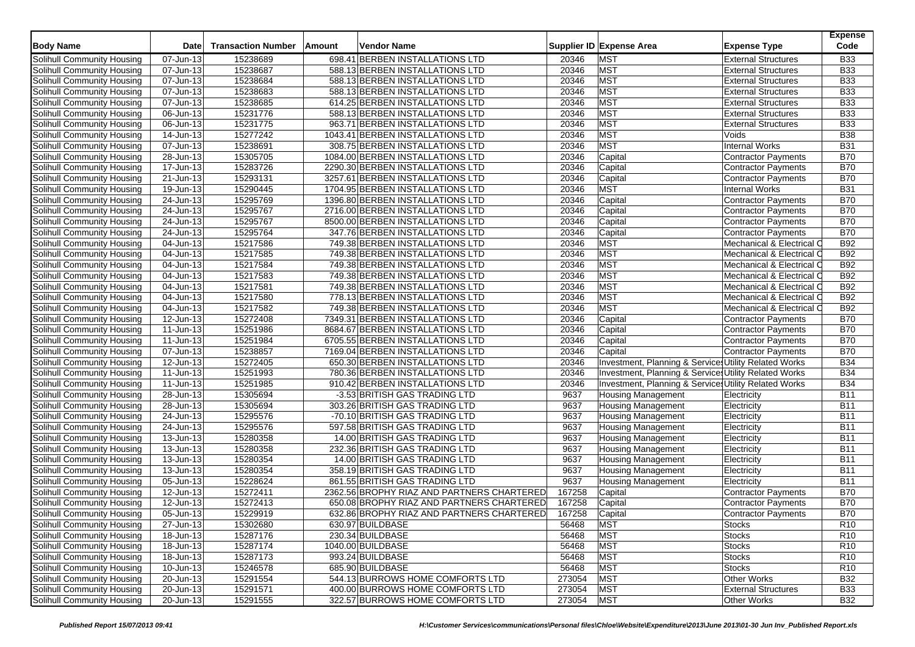| <b>Body Name</b>                                         | Date                    | <b>Transaction Number</b> | Amount | Vendor Name       |                                                                 |              | Supplier ID Expense Area                              | <b>Expense Type</b>        | <b>Expense</b><br>Code |
|----------------------------------------------------------|-------------------------|---------------------------|--------|-------------------|-----------------------------------------------------------------|--------------|-------------------------------------------------------|----------------------------|------------------------|
| Solihull Community Housing                               | $\overline{07}$ -Jun-13 | 15238689                  |        |                   | 698.41 BERBEN INSTALLATIONS LTD                                 | 20346        | <b>MST</b>                                            | <b>External Structures</b> | <b>B33</b>             |
| Solihull Community Housing                               | 07-Jun-13               | 15238687                  |        |                   | 588.13 BERBEN INSTALLATIONS LTD                                 | 20346        | <b>MST</b>                                            | <b>External Structures</b> | <b>B33</b>             |
| Solihull Community Housing                               | 07-Jun-13               | 15238684                  |        |                   | 588.13 BERBEN INSTALLATIONS LTD                                 | 20346        | <b>MST</b>                                            | <b>External Structures</b> | <b>B33</b>             |
| Solihull Community Housing                               | 07-Jun-13               | 15238683                  |        |                   | 588.13 BERBEN INSTALLATIONS LTD                                 | 20346        | MST                                                   | <b>External Structures</b> | <b>B33</b>             |
| Solihull Community Housing                               | 07-Jun-13               | 15238685                  |        |                   | 614.25 BERBEN INSTALLATIONS LTD                                 | 20346        | <b>MST</b>                                            | <b>External Structures</b> | <b>B33</b>             |
| Solihull Community Housing                               | 06-Jun-13               | 15231776                  |        |                   | 588.13 BERBEN INSTALLATIONS LTD                                 | 20346        | MST                                                   | <b>External Structures</b> | <b>B33</b>             |
| Solihull Community Housing                               | $\overline{06}$ -Jun-13 | 15231775                  |        |                   | 963.71 BERBEN INSTALLATIONS LTD                                 | 20346        | <b>MST</b>                                            | <b>External Structures</b> | <b>B33</b>             |
| Solihull Community Housing                               | 14-Jun-13               | 15277242                  |        |                   | 1043.41 BERBEN INSTALLATIONS LTD                                | 20346        | MST                                                   | Voids                      | <b>B</b> 38            |
| Solihull Community Housing                               | 07-Jun-13               | 15238691                  |        |                   | 308.75 BERBEN INSTALLATIONS LTD                                 | 20346        | <b>MST</b>                                            | Internal Works             | <b>B31</b>             |
| Solihull Community Housing                               | 28-Jun-13               | 15305705                  |        |                   | 1084.00 BERBEN INSTALLATIONS LTD                                | 20346        | Capital                                               | Contractor Payments        | <b>B70</b>             |
| Solihull Community Housing                               | 17-Jun-13               | 15283726                  |        |                   | 2290.30 BERBEN INSTALLATIONS LTD                                | 20346        | Capital                                               | <b>Contractor Payments</b> | <b>B70</b>             |
| Solihull Community Housing                               | 21-Jun-13               | 15293131                  |        |                   | 3257.61 BERBEN INSTALLATIONS LTD                                | 20346        | Capital                                               | Contractor Payments        | <b>B70</b>             |
| Solihull Community Housing                               | $\overline{19}$ -Jun-13 | 15290445                  |        |                   | 1704.95 BERBEN INSTALLATIONS LTD                                | 20346        | <b>MST</b>                                            | <b>Internal Works</b>      | <b>B31</b>             |
| Solihull Community Housing                               | 24-Jun-13               | 15295769                  |        |                   | 1396.80 BERBEN INSTALLATIONS LTD                                | 20346        | Capital                                               | Contractor Payments        | <b>B70</b>             |
| Solihull Community Housing                               | 24-Jun-13               | 15295767                  |        |                   | 2716.00 BERBEN INSTALLATIONS LTD                                | 20346        | Capital                                               | Contractor Payments        | <b>B70</b>             |
| Solihull Community Housing                               | $\overline{24}$ -Jun-13 | 15295767                  |        |                   | 8500.00 BERBEN INSTALLATIONS LTD                                | 20346        | Capital                                               | Contractor Payments        | <b>B70</b>             |
| Solihull Community Housing                               | 24-Jun-13               | 15295764                  |        |                   | 347.76 BERBEN INSTALLATIONS LTD                                 | 20346        | Capital                                               | Contractor Payments        | <b>B70</b>             |
| Solihull Community Housing                               | 04-Jun-13               | 15217586                  |        |                   | 749.38 BERBEN INSTALLATIONS LTD                                 | 20346        | <b>MST</b>                                            | Mechanical & Electrical C  | <b>B92</b>             |
| Solihull Community Housing                               | 04-Jun-13               | 15217585                  |        |                   | 749.38 BERBEN INSTALLATIONS LTD                                 | 20346        | <b>MST</b>                                            | Mechanical & Electrical C  | <b>B92</b>             |
| Solihull Community Housing                               | 04-Jun-13               | 15217584                  |        |                   | 749.38 BERBEN INSTALLATIONS LTD                                 | 20346        | <b>MST</b>                                            | Mechanical & Electrical C  | <b>B92</b>             |
| Solihull Community Housing                               | 04-Jun-13               | 15217583                  |        |                   | 749.38 BERBEN INSTALLATIONS LTD                                 | 20346        | MST                                                   | Mechanical & Electrical C  | <b>B92</b>             |
| Solihull Community Housing                               | 04-Jun-13               | 15217581                  |        |                   | 749.38 BERBEN INSTALLATIONS LTD                                 | 20346        | <b>MST</b>                                            | Mechanical & Electrical O  | <b>B92</b>             |
| Solihull Community Housing                               | 04-Jun-13               | 15217580                  |        |                   | 778.13 BERBEN INSTALLATIONS LTD                                 | 20346        | <b>MST</b>                                            | Mechanical & Electrical C  | <b>B92</b>             |
| Solihull Community Housing                               | $\overline{04}$ -Jun-13 | 15217582                  |        |                   | 749.38 BERBEN INSTALLATIONS LTD                                 | 20346        | <b>MST</b>                                            | Mechanical & Electrical C  | <b>B92</b>             |
| Solihull Community Housing                               | $\overline{12}$ -Jun-13 | 15272408                  |        |                   | 7349.31 BERBEN INSTALLATIONS LTD                                | 20346        | Capital                                               | Contractor Payments        | <b>B70</b>             |
| Solihull Community Housing                               | 11-Jun-13               | 15251986                  |        |                   | 8684.67 BERBEN INSTALLATIONS LTD                                | 20346        | Capital                                               | Contractor Payments        | <b>B70</b>             |
| Solihull Community Housing                               | 11-Jun-13               | 15251984                  |        |                   | 6705.55 BERBEN INSTALLATIONS LTD                                | 20346        | Capital                                               | Contractor Payments        | <b>B70</b>             |
| Solihull Community Housing                               | 07-Jun-13               | 15238857                  |        |                   | 7169.04 BERBEN INSTALLATIONS LTD                                | 20346        | Capital                                               | Contractor Payments        | <b>B70</b>             |
| Solihull Community Housing                               | 12-Jun-13               | 15272405                  |        |                   | 650.30 BERBEN INSTALLATIONS LTD                                 | 20346        | Investment, Planning & Services Utility Related Works |                            | <b>B34</b>             |
| Solihull Community Housing                               | 11-Jun-13               | 15251993                  |        |                   | 780.36 BERBEN INSTALLATIONS LTD                                 | 20346        | Investment, Planning & Services Utility Related Works |                            | <b>B34</b>             |
| Solihull Community Housing                               | $\overline{11}$ -Jun-13 | 15251985                  |        |                   | 910.42 BERBEN INSTALLATIONS LTD                                 | 20346        | Investment, Planning & Services Utility Related Works |                            | <b>B34</b>             |
|                                                          | 28-Jun-13               | 15305694                  |        |                   | -3.53 BRITISH GAS TRADING LTD                                   | 9637         |                                                       |                            | <b>B11</b>             |
| Solihull Community Housing<br>Solihull Community Housing | 28-Jun-13               | 15305694                  |        |                   | 303.26 BRITISH GAS TRADING LTD                                  | 9637         | Housing Management<br><b>Housing Management</b>       | Electricity<br>Electricity | <b>B11</b>             |
|                                                          |                         | 15295576                  |        |                   | -70.10 BRITISH GAS TRADING LTD                                  | 9637         |                                                       |                            | <b>B11</b>             |
| Solihull Community Housing                               | 24-Jun-13               | 15295576                  |        |                   |                                                                 |              | <b>Housing Management</b>                             | Electricity                | <b>B11</b>             |
| Solihull Community Housing                               | 24-Jun-13<br>13-Jun-13  | 15280358                  |        |                   | 597.58 BRITISH GAS TRADING LTD<br>14.00 BRITISH GAS TRADING LTD | 9637<br>9637 | <b>Housing Management</b>                             | Electricity<br>Electricity | <b>B11</b>             |
| Solihull Community Housing<br>Solihull Community Housing |                         |                           |        |                   |                                                                 | 9637         | <b>Housing Management</b>                             |                            | <b>B11</b>             |
|                                                          | 13-Jun-13<br>13-Jun-13  | 15280358                  |        |                   | 232.36 BRITISH GAS TRADING LTD                                  | 9637         | <b>Housing Management</b>                             | Electricity                | <b>B11</b>             |
| Solihull Community Housing                               | 13-Jun-13               | 15280354                  |        |                   | 14.00 BRITISH GAS TRADING LTD                                   | 9637         | <b>Housing Management</b>                             | Electricity<br>Electricity | <b>B11</b>             |
| Solihull Community Housing                               |                         | 15280354                  |        |                   | 358.19 BRITISH GAS TRADING LTD                                  | 9637         | <b>Housing Management</b>                             |                            | <b>B11</b>             |
| Solihull Community Housing                               | 05-Jun-13               | 15228624                  |        |                   | 861.55 BRITISH GAS TRADING LTD                                  |              | <b>Housing Management</b>                             | Electricity                |                        |
| Solihull Community Housing                               | 12-Jun-13               | 15272411                  |        |                   | 2362.56 BROPHY RIAZ AND PARTNERS CHARTERED                      | 167258       | Capital                                               | <b>Contractor Payments</b> | <b>B70</b>             |
| Solihull Community Housing                               | 12-Jun-13               | 15272413                  |        |                   | 650.08 BROPHY RIAZ AND PARTNERS CHARTERED                       | 167258       | Capital                                               | <b>Contractor Payments</b> | <b>B70</b>             |
| Solihull Community Housing                               | 05-Jun-13               | 15229919                  |        |                   | 632.86 BROPHY RIAZ AND PARTNERS CHARTERED                       | 167258       | Capital                                               | Contractor Payments        | <b>B70</b>             |
| Solihull Community Housing                               | 27-Jun-13               | 15302680                  |        | 630.97 BUILDBASE  |                                                                 | 56468        | <b>MST</b>                                            | <b>Stocks</b>              | R <sub>10</sub>        |
| Solihull Community Housing                               | 18-Jun-13               | 15287176                  |        | 230.34 BUILDBASE  |                                                                 | 56468        | <b>MST</b>                                            | <b>Stocks</b>              | R <sub>10</sub>        |
| Solihull Community Housing                               | 18-Jun-13               | 15287174                  |        | 1040.00 BUILDBASE |                                                                 | 56468        | MST                                                   | <b>Stocks</b>              | R <sub>10</sub>        |
| Solihull Community Housing                               | 18-Jun-13               | 15287173                  |        | 993.24 BUILDBASE  |                                                                 | 56468        | <b>MST</b>                                            | <b>Stocks</b>              | R <sub>10</sub>        |
| Solihull Community Housing                               | 10-Jun-13               | 15246578                  |        | 685.90 BUILDBASE  |                                                                 | 56468        | <b>MST</b>                                            | <b>Stocks</b>              | R <sub>10</sub>        |
| Solihull Community Housing                               | 20-Jun-13               | 15291554                  |        |                   | 544.13 BURROWS HOME COMFORTS LTD                                | 273054       | <b>MST</b>                                            | <b>Other Works</b>         | <b>B32</b>             |
| Solihull Community Housing                               | 20-Jun-13               | 15291571                  |        |                   | 400.00 BURROWS HOME COMFORTS LTD                                | 273054       | <b>MST</b>                                            | <b>External Structures</b> | <b>B33</b>             |
| Solihull Community Housing                               | 20-Jun-13               | 15291555                  |        |                   | 322.57 BURROWS HOME COMFORTS LTD                                | 273054       | <b>MST</b>                                            | <b>Other Works</b>         | <b>B32</b>             |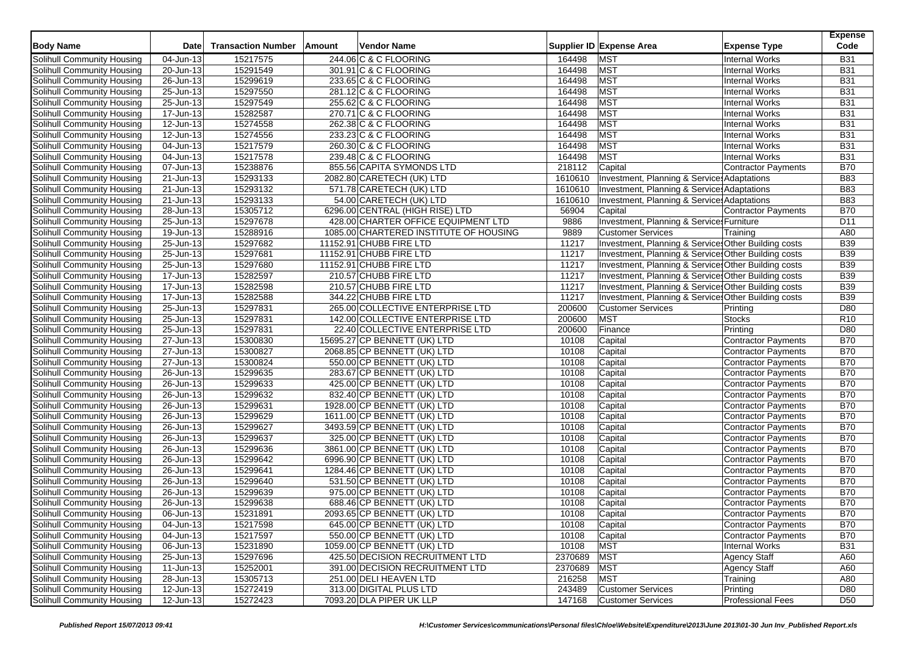| <b>Body Name</b>           | <b>Date</b>             | <b>Transaction Number</b> | Amount | <b>Vendor Name</b>                     |         | Supplier ID Expense Area                             | <b>Expense Type</b>        | <b>Expense</b><br>Code |
|----------------------------|-------------------------|---------------------------|--------|----------------------------------------|---------|------------------------------------------------------|----------------------------|------------------------|
| Solihull Community Housing | 04-Jun-13               | 15217575                  |        | 244.06 C & C FLOORING                  | 164498  | <b>MST</b>                                           | <b>Internal Works</b>      | <b>B31</b>             |
| Solihull Community Housing | 20-Jun-13               | 15291549                  |        | 301.91 C & C FLOORING                  | 164498  | MST                                                  | <b>Internal Works</b>      | <b>B31</b>             |
| Solihull Community Housing | 26-Jun-13               | 15299619                  |        | 233.65 C & C FLOORING                  | 164498  | <b>MST</b>                                           | <b>Internal Works</b>      | <b>B31</b>             |
| Solihull Community Housing | 25-Jun-13               | 15297550                  |        | 281.12 C & C FLOORING                  | 164498  | <b>MST</b>                                           | <b>Internal Works</b>      | <b>B31</b>             |
| Solihull Community Housing | 25-Jun-13               | 15297549                  |        | 255.62 C & C FLOORING                  | 164498  | <b>MST</b>                                           | <b>Internal Works</b>      | <b>B31</b>             |
| Solihull Community Housing | 17-Jun-13               | 15282587                  |        | 270.71 C & C FLOORING                  | 164498  | <b>MST</b>                                           | <b>Internal Works</b>      | <b>B31</b>             |
| Solihull Community Housing | 12-Jun-13               | 15274558                  |        | 262.38 C & C FLOORING                  | 164498  | <b>MST</b>                                           | <b>Internal Works</b>      | <b>B31</b>             |
| Solihull Community Housing | 12-Jun-13               | 15274556                  |        | 233.23 C & C FLOORING                  | 164498  | <b>MST</b>                                           | <b>Internal Works</b>      | <b>B31</b>             |
| Solihull Community Housing | 04-Jun-13               | 15217579                  |        | 260.30 C & C FLOORING                  | 164498  | <b>MST</b>                                           | <b>Internal Works</b>      | <b>B31</b>             |
| Solihull Community Housing | 04-Jun-13               | 15217578                  |        | 239.48 C & C FLOORING                  | 164498  | <b>MST</b>                                           | <b>Internal Works</b>      | <b>B31</b>             |
| Solihull Community Housing | 07-Jun-13               | 15238876                  |        | 855.56 CAPITA SYMONDS LTD              | 218112  | Capital                                              | <b>Contractor Payments</b> | <b>B70</b>             |
| Solihull Community Housing | 21-Jun-13               | 15293133                  |        | 2082.80 CARETECH (UK) LTD              | 1610610 | Investment, Planning & Services Adaptations          |                            | <b>B83</b>             |
| Solihull Community Housing | 21-Jun-13               | 15293132                  |        | 571.78 CARETECH (UK) LTD               | 1610610 | Investment, Planning & Service Adaptations           |                            | <b>B83</b>             |
| Solihull Community Housing | 21-Jun-13               | 15293133                  |        | 54.00 CARETECH (UK) LTD                | 1610610 | Investment, Planning & Services Adaptations          |                            | <b>B83</b>             |
| Solihull Community Housing | 28-Jun-13               | 15305712                  |        | 6296.00 CENTRAL (HIGH RISE) LTD        | 56904   | Capital                                              | <b>Contractor Payments</b> | <b>B70</b>             |
| Solihull Community Housing | 25-Jun-13               | 15297678                  |        | 428.00 CHARTER OFFICE EQUIPMENT LTD    | 9886    | Investment, Planning & Service Furniture             |                            | D11                    |
| Solihull Community Housing | 19-Jun-13               | 15288916                  |        | 1085.00 CHARTERED INSTITUTE OF HOUSING | 9889    | <b>Customer Services</b>                             | Training                   | A80                    |
| Solihull Community Housing | 25-Jun-13               | 15297682                  |        | 11152.91 CHUBB FIRE LTD                | 11217   | Investment, Planning & Service: Other Building costs |                            | <b>B39</b>             |
| Solihull Community Housing | 25-Jun-13               | 15297681                  |        | 11152.91 CHUBB FIRE LTD                | 11217   | Investment, Planning & Service: Other Building costs |                            | <b>B39</b>             |
| Solihull Community Housing | 25-Jun-13               | 15297680                  |        | 11152.91 CHUBB FIRE LTD                | 11217   | Investment, Planning & Service: Other Building costs |                            | <b>B39</b>             |
| Solihull Community Housing | 17-Jun-13               | 15282597                  |        | 210.57 CHUBB FIRE LTD                  | 11217   | Investment, Planning & Service Other Building costs  |                            | <b>B39</b>             |
| Solihull Community Housing | 17-Jun-13               | 15282598                  |        | 210.57 CHUBB FIRE LTD                  | 11217   | Investment, Planning & Service: Other Building costs |                            | <b>B39</b>             |
| Solihull Community Housing | 17-Jun-13               | 15282588                  |        | 344.22 CHUBB FIRE LTD                  | 11217   | Investment, Planning & Service: Other Building costs |                            | <b>B39</b>             |
| Solihull Community Housing | 25-Jun-13               | 15297831                  |        | 265.00 COLLECTIVE ENTERPRISE LTD       | 200600  | <b>Customer Services</b>                             | Printing                   | D80                    |
| Solihull Community Housing | $\overline{25}$ -Jun-13 | 15297831                  |        | 142.00 COLLECTIVE ENTERPRISE LTD       | 200600  | <b>MST</b>                                           | <b>Stocks</b>              | R <sub>10</sub>        |
| Solihull Community Housing | 25-Jun-13               | 15297831                  |        | 22.40 COLLECTIVE ENTERPRISE LTD        | 200600  | Finance                                              | Printing                   | D80                    |
| Solihull Community Housing | 27-Jun-13               | 15300830                  |        | 15695.27 CP BENNETT (UK) LTD           | 10108   | Capital                                              | <b>Contractor Payments</b> | <b>B70</b>             |
| Solihull Community Housing | 27-Jun-13               | 15300827                  |        | 2068.85 CP BENNETT (UK) LTD            | 10108   | Capital                                              | <b>Contractor Payments</b> | <b>B70</b>             |
| Solihull Community Housing | 27-Jun-13               | 15300824                  |        | 550.00 CP BENNETT (UK) LTD             | 10108   | Capital                                              | Contractor Payments        | <b>B70</b>             |
| Solihull Community Housing | 26-Jun-13               | 15299635                  |        | 283.67 CP BENNETT (UK) LTD             | 10108   | Capital                                              | <b>Contractor Payments</b> | <b>B70</b>             |
| Solihull Community Housing | 26-Jun-13               | 15299633                  |        | 425.00 CP BENNETT (UK) LTD             | 10108   | Capital                                              | <b>Contractor Payments</b> | <b>B70</b>             |
| Solihull Community Housing | 26-Jun-13               | 15299632                  |        | 832.40 CP BENNETT (UK) LTD             | 10108   | Capital                                              | Contractor Payments        | <b>B70</b>             |
| Solihull Community Housing | 26-Jun-13               | 15299631                  |        | 1928.00 CP BENNETT (UK) LTD            | 10108   | Capital                                              | <b>Contractor Payments</b> | <b>B70</b>             |
| Solihull Community Housing | 26-Jun-13               | 15299629                  |        | 1611.00 CP BENNETT (UK) LTD            | 10108   | Capital                                              | Contractor Payments        | <b>B70</b>             |
| Solihull Community Housing | 26-Jun-13               | 15299627                  |        | 3493.59 CP BENNETT (UK) LTD            | 10108   | Capital                                              | <b>Contractor Payments</b> | <b>B70</b>             |
| Solihull Community Housing | 26-Jun-13               | 15299637                  |        | 325.00 CP BENNETT (UK) LTD             | 10108   | Capital                                              | Contractor Payments        | <b>B70</b>             |
| Solihull Community Housing | 26-Jun-13               | 15299636                  |        | 3861.00 CP BENNETT (UK) LTD            | 10108   | Capital                                              | Contractor Payments        | <b>B70</b>             |
| Solihull Community Housing | 26-Jun-13               | 15299642                  |        | 6996.90 CP BENNETT (UK) LTD            | 10108   | Capital                                              | <b>Contractor Payments</b> | <b>B70</b>             |
| Solihull Community Housing | 26-Jun-13               | 15299641                  |        | 1284.46 CP BENNETT (UK) LTD            | 10108   | Capital                                              | Contractor Payments        | <b>B70</b>             |
| Solihull Community Housing | 26-Jun-13               | 15299640                  |        | 531.50 CP BENNETT (UK) LTD             | 10108   | Capital                                              | Contractor Payments        | <b>B70</b>             |
| Solihull Community Housing | 26-Jun-13               | 15299639                  |        | 975.00 CP BENNETT (UK) LTD             | 10108   | Capital                                              | <b>Contractor Payments</b> | <b>B70</b>             |
| Solihull Community Housing | 26-Jun-13               | 15299638                  |        | 688.46 CP BENNETT (UK) LTD             | 10108   | Capital                                              | Contractor Payments        | <b>B70</b>             |
| Solihull Community Housing | 06-Jun-13               | 15231891                  |        | 2093.65 CP BENNETT (UK) LTD            | 10108   | Capital                                              | <b>Contractor Payments</b> | <b>B70</b>             |
| Solihull Community Housing | 04-Jun-13               | 15217598                  |        | 645.00 CP BENNETT (UK) LTD             | 10108   | Capital                                              | Contractor Payments        | <b>B70</b>             |
| Solihull Community Housing | 04-Jun-13               | 15217597                  |        | 550.00 CP BENNETT (UK) LTD             | 10108   | Capital                                              | Contractor Payments        | <b>B70</b>             |
| Solihull Community Housing | 06-Jun-13               | 15231890                  |        | 1059.00 CP BENNETT (UK) LTD            | 10108   | MST                                                  | <b>Internal Works</b>      | <b>B31</b>             |
| Solihull Community Housing | 25-Jun-13               | 15297696                  |        | 425.50 DECISION RECRUITMENT LTD        | 2370689 | MST                                                  | <b>Agency Staff</b>        | A60                    |
| Solihull Community Housing | 11-Jun-13               | 15252001                  |        | 391.00 DECISION RECRUITMENT LTD        | 2370689 | <b>MST</b>                                           | <b>Agency Staff</b>        | A60                    |
| Solihull Community Housing | 28-Jun-13               | 15305713                  |        | 251.00 DELI HEAVEN LTD                 | 216258  | <b>MST</b>                                           | Training                   | A80                    |
| Solihull Community Housing | 12-Jun-13               | 15272419                  |        | 313.00 DIGITAL PLUS LTD                | 243489  | <b>Customer Services</b>                             | Printing                   | D80                    |
| Solihull Community Housing | 12-Jun-13               | 15272423                  |        | 7093.20 DLA PIPER UK LLP               | 147168  | <b>Customer Services</b>                             | <b>Professional Fees</b>   | D <sub>50</sub>        |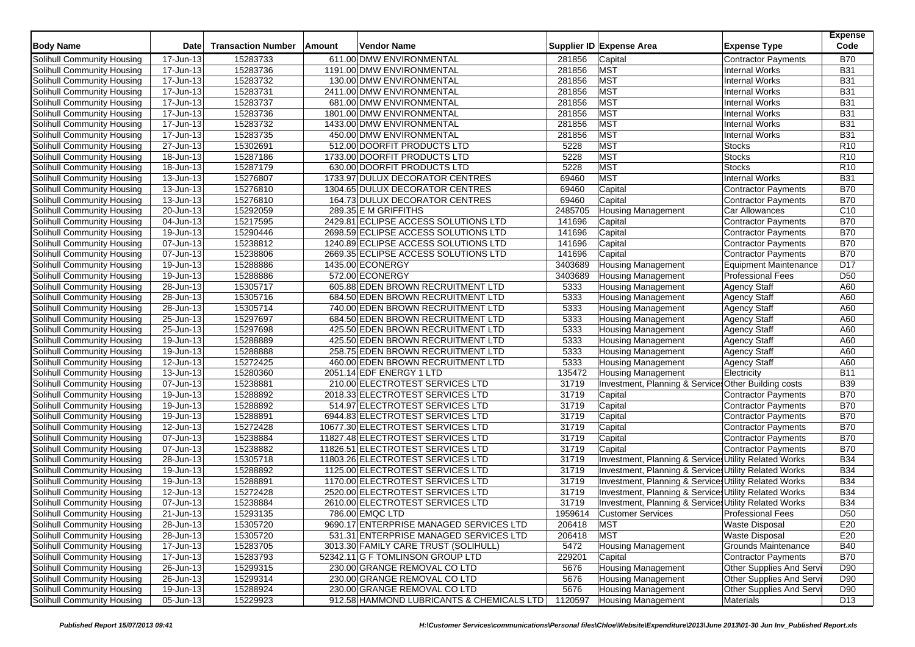| <b>Body Name</b>                  | <b>Date</b>             | <b>Transaction Number</b> | Amount | <b>Vendor Name</b>                        |         | Supplier ID Expense Area                              | <b>Expense Type</b>          | <b>Expense</b><br>Code |
|-----------------------------------|-------------------------|---------------------------|--------|-------------------------------------------|---------|-------------------------------------------------------|------------------------------|------------------------|
| Solihull Community Housing        | 17-Jun-13               | 15283733                  |        | 611.00 DMW ENVIRONMENTAL                  | 281856  | Capital                                               | Contractor Payments          | <b>B70</b>             |
| Solihull Community Housing        | 17-Jun-13               | 15283736                  |        | 1191.00 DMW ENVIRONMENTAL                 | 281856  | <b>MST</b>                                            | <b>Internal Works</b>        | <b>B31</b>             |
| Solihull Community Housing        | 17-Jun-13               | 15283732                  |        | 130.00 DMW ENVIRONMENTAL                  | 281856  | <b>MST</b>                                            | <b>Internal Works</b>        | <b>B31</b>             |
| Solihull Community Housing        | 17-Jun-13               | 15283731                  |        | 2411.00 DMW ENVIRONMENTAL                 | 281856  | <b>MST</b>                                            | <b>Internal Works</b>        | <b>B31</b>             |
| Solihull Community Housing        | 17-Jun-13               | 15283737                  |        | 681.00 DMW ENVIRONMENTAL                  | 281856  | <b>MST</b>                                            | <b>Internal Works</b>        | <b>B31</b>             |
| Solihull Community Housing        | 17-Jun-13               | 15283736                  |        | 1801.00 DMW ENVIRONMENTAL                 | 281856  | <b>MST</b>                                            | <b>Internal Works</b>        | <b>B31</b>             |
| Solihull Community Housing        | 17-Jun-13               | 15283732                  |        | 1433.00 DMW ENVIRONMENTAL                 | 281856  | <b>MST</b>                                            | <b>Internal Works</b>        | <b>B31</b>             |
| Solihull Community Housing        | 17-Jun-13               | 15283735                  |        | 450.00 DMW ENVIRONMENTAL                  | 281856  | <b>MST</b>                                            | <b>Internal Works</b>        | <b>B31</b>             |
| Solihull Community Housing        | 27-Jun-13               | 15302691                  |        | 512.00 DOORFIT PRODUCTS LTD               | 5228    | <b>MST</b>                                            | <b>Stocks</b>                | R <sub>10</sub>        |
| Solihull Community Housing        | 18-Jun-13               | 15287186                  |        | 1733.00 DOORFIT PRODUCTS LTD              | 5228    | <b>MST</b>                                            | Stocks                       | R <sub>10</sub>        |
| Solihull Community Housing        | 18-Jun-13               | 15287179                  |        | 630.00 DOORFIT PRODUCTS LTD               | 5228    | <b>MST</b>                                            | <b>Stocks</b>                | R <sub>10</sub>        |
| Solihull Community Housing        | 13-Jun-13               | 15276807                  |        | 1733.97 DULUX DECORATOR CENTRES           | 69460   | <b>MST</b>                                            | <b>Internal Works</b>        | <b>B31</b>             |
| Solihull Community Housing        | 13-Jun-13               | 15276810                  |        | 1304.65 DULUX DECORATOR CENTRES           | 69460   | Capital                                               | <b>Contractor Payments</b>   | <b>B70</b>             |
| Solihull Community Housing        | 13-Jun-13               | 15276810                  |        | 164.73 DULUX DECORATOR CENTRES            | 69460   | Capital                                               | <b>Contractor Payments</b>   | <b>B70</b>             |
| Solihull Community Housing        | 20-Jun-13               | 15292059                  |        | 289.35 E M GRIFFITHS                      | 2485705 | Housing Management                                    | Car Allowances               | C <sub>10</sub>        |
| Solihull Community Housing        | 04-Jun-13               | 15217595                  |        | 2429.81 ECLIPSE ACCESS SOLUTIONS LTD      | 141696  | Capital                                               | Contractor Payments          | <b>B70</b>             |
| Solihull Community Housing        | 19-Jun-13               | 15290446                  |        | 2698.59 ECLIPSE ACCESS SOLUTIONS LTD      | 141696  | Capital                                               | <b>Contractor Payments</b>   | <b>B70</b>             |
| Solihull Community Housing        | 07-Jun-13               | 15238812                  |        | 1240.89 ECLIPSE ACCESS SOLUTIONS LTD      | 141696  | Capital                                               | <b>Contractor Payments</b>   | <b>B70</b>             |
| Solihull Community Housing        | 07-Jun-13               | 15238806                  |        | 2669.35 ECLIPSE ACCESS SOLUTIONS LTD      | 141696  | Capital                                               | <b>Contractor Payments</b>   | <b>B70</b>             |
| Solihull Community Housing        | 19-Jun-13               | 15288886                  |        | 1435.00 ECONERGY                          | 3403689 | <b>Housing Management</b>                             | <b>Equipment Maintenance</b> | D17                    |
| Solihull Community Housing        | 19-Jun-13               | 15288886                  |        | 572.00 ECONERGY                           | 3403689 | <b>Housing Management</b>                             | <b>Professional Fees</b>     | D <sub>50</sub>        |
| Solihull Community Housing        | 28-Jun-13               | 15305717                  |        | 605.88 EDEN BROWN RECRUITMENT LTD         | 5333    | <b>Housing Management</b>                             | <b>Agency Staff</b>          | A60                    |
| Solihull Community Housing        | 28-Jun-13               | 15305716                  |        | 684.50 EDEN BROWN RECRUITMENT LTD         | 5333    | <b>Housing Management</b>                             | <b>Agency Staff</b>          | A60                    |
| Solihull Community Housing        | 28-Jun-13               | 15305714                  |        | 740.00 EDEN BROWN RECRUITMENT LTD         | 5333    | <b>Housing Management</b>                             | <b>Agency Staff</b>          | A60                    |
| Solihull Community Housing        | 25-Jun-13               | 15297697                  |        | 684.50 EDEN BROWN RECRUITMENT LTD         | 5333    | <b>Housing Management</b>                             | <b>Agency Staff</b>          | A60                    |
| Solihull Community Housing        | 25-Jun-13               | 15297698                  |        | 425.50 EDEN BROWN RECRUITMENT LTD         | 5333    | <b>Housing Management</b>                             | <b>Agency Staff</b>          | A60                    |
| Solihull Community Housing        | 19-Jun-13               | 15288889                  |        | 425.50 EDEN BROWN RECRUITMENT LTD         | 5333    | Housing Management                                    | <b>Agency Staff</b>          | A60                    |
| Solihull Community Housing        | 19-Jun-13               | 15288888                  |        | 258.75 EDEN BROWN RECRUITMENT LTD         | 5333    | <b>Housing Management</b>                             | <b>Agency Staff</b>          | A60                    |
| Solihull Community Housing        | 12-Jun-13               | 15272425                  |        | 460.00 EDEN BROWN RECRUITMENT LTD         | 5333    | <b>Housing Management</b>                             | <b>Agency Staff</b>          | A60                    |
| Solihull Community Housing        | 13-Jun-13               | 15280360                  |        | 2051.14 EDF ENERGY 1 LTD                  | 135472  | <b>Housing Management</b>                             | Electricity                  | <b>B11</b>             |
| Solihull Community Housing        | 07-Jun-13               | 15238881                  |        | 210.00 ELECTROTEST SERVICES LTD           | 31719   | Investment, Planning & Services Other Building costs  |                              | <b>B39</b>             |
| Solihull Community Housing        | 19-Jun-13               | 15288892                  |        | 2018.33 ELECTROTEST SERVICES LTD          | 31719   | Capital                                               | Contractor Payments          | <b>B70</b>             |
| Solihull Community Housing        | 19-Jun-13               | 15288892                  |        | 514.97 ELECTROTEST SERVICES LTD           | 31719   | Capital                                               | Contractor Payments          | <b>B70</b>             |
| Solihull Community Housing        | 19-Jun-13               | 15288891                  |        | 6944.83 ELECTROTEST SERVICES LTD          | 31719   | Capital                                               | Contractor Payments          | <b>B70</b>             |
| Solihull Community Housing        | 12-Jun-13               | 15272428                  |        | 10677.30 ELECTROTEST SERVICES LTD         | 31719   | Capital                                               | <b>Contractor Payments</b>   | <b>B70</b>             |
| Solihull Community Housing        | $\overline{07}$ -Jun-13 | 15238884                  |        | 11827.48 ELECTROTEST SERVICES LTD         | 31719   | Capital                                               | Contractor Payments          | <b>B70</b>             |
| Solihull Community Housing        | 07-Jun-13               | 15238882                  |        | 11826.51 ELECTROTEST SERVICES LTD         | 31719   | Capital                                               | <b>Contractor Payments</b>   | <b>B70</b>             |
| Solihull Community Housing        | 28-Jun-13               | 15305718                  |        | 11803.26 ELECTROTEST SERVICES LTD         | 31719   | Investment, Planning & Service Utility Related Works  |                              | <b>B34</b>             |
| Solihull Community Housing        | 19-Jun-13               | 15288892                  |        | 1125.00 ELECTROTEST SERVICES LTD          | 31719   | Investment, Planning & Services Utility Related Works |                              | <b>B34</b>             |
| Solihull Community Housing        | 19-Jun-13               | 15288891                  |        | 1170.00 ELECTROTEST SERVICES LTD          | 31719   | Investment, Planning & Services Utility Related Works |                              | <b>B34</b>             |
| Solihull Community Housing        | 12-Jun-13               | 15272428                  |        | 2520.00 ELECTROTEST SERVICES LTD          | 31719   | Investment, Planning & Services Utility Related Works |                              | <b>B34</b>             |
| Solihull Community Housing        | 07-Jun-13               | 15238884                  |        | 2610.00 ELECTROTEST SERVICES LTD          | 31719   | Investment, Planning & Services Utility Related Works |                              | <b>B34</b>             |
| Solihull Community Housing        | $21 - Jun-13$           | 15293135                  |        | 786.00 EMQC LTD                           | 1959614 | <b>Customer Services</b>                              | <b>Professional Fees</b>     | D <sub>50</sub>        |
| Solihull Community Housing        | 28-Jun-13               | 15305720                  |        | 9690.17 ENTERPRISE MANAGED SERVICES LTD   | 206418  | <b>MST</b>                                            | <b>Waste Disposal</b>        | E20                    |
| Solihull Community Housing        | 28-Jun-13               | 15305720                  |        | 531.31 ENTERPRISE MANAGED SERVICES LTD    | 206418  | <b>MST</b>                                            | <b>Waste Disposal</b>        | E20                    |
| Solihull Community Housing        | 17-Jun-13               | 15283705                  |        | 3013.30 FAMILY CARE TRUST (SOLIHULL)      | 5472    | <b>Housing Management</b>                             | Grounds Maintenance          | <b>B40</b>             |
| Solihull Community Housing        | 17-Jun-13               | 15283793                  |        | 52342.11 G F TOMLINSON GROUP LTD          | 229201  | Capital                                               | Contractor Payments          | <b>B70</b>             |
| Solihull Community Housing        | 26-Jun-13               | 15299315                  |        | 230.00 GRANGE REMOVAL CO LTD              | 5676    | <b>Housing Management</b>                             | Other Supplies And Serv      | D90                    |
| Solihull Community Housing        | 26-Jun-13               | 15299314                  |        | 230.00 GRANGE REMOVAL CO LTD              | 5676    | <b>Housing Management</b>                             | Other Supplies And Servi     | D90                    |
| <b>Solihull Community Housing</b> | 19-Jun-13               | 15288924                  |        | 230.00 GRANGE REMOVAL CO LTD              | 5676    | <b>Housing Management</b>                             | Other Supplies And Servi     | D90                    |
| Solihull Community Housing        | 05-Jun-13               | 15229923                  |        | 912.58 HAMMOND LUBRICANTS & CHEMICALS LTD | 1120597 | Housing Management                                    | Materials                    | D <sub>13</sub>        |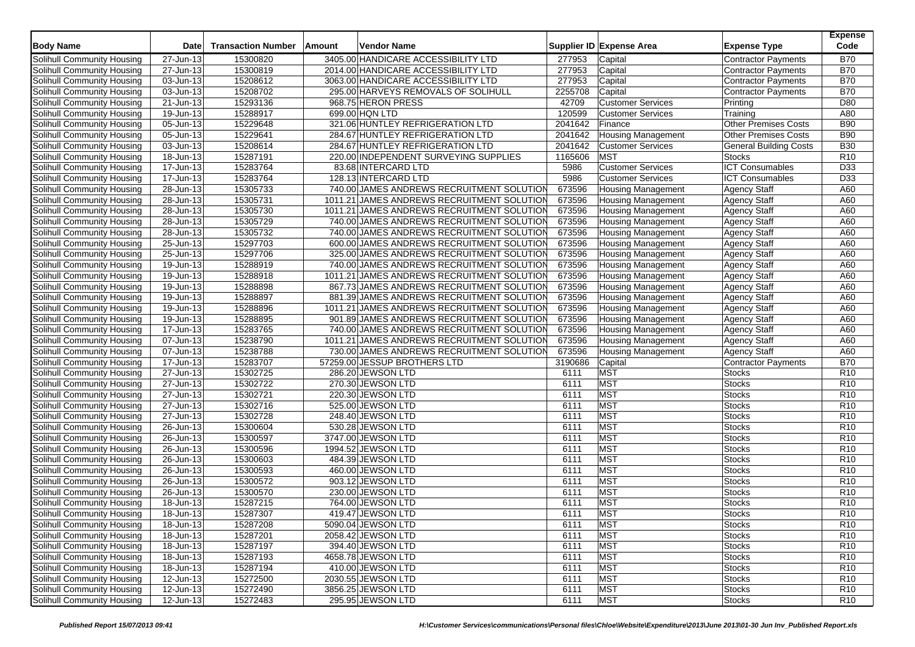| <b>Body Name</b>                  | <b>Date</b>             | <b>Transaction Number</b> | Amount | Vendor Name                                |         | Supplier ID Expense Area  | <b>Expense Type</b>           | <b>Expense</b><br>Code |
|-----------------------------------|-------------------------|---------------------------|--------|--------------------------------------------|---------|---------------------------|-------------------------------|------------------------|
| Solihull Community Housing        | 27-Jun-13               | 15300820                  |        | 3405.00 HANDICARE ACCESSIBILITY LTD        | 277953  | Capital                   | Contractor Payments           | <b>B70</b>             |
| Solihull Community Housing        | 27-Jun-13               | 15300819                  |        | 2014.00 HANDICARE ACCESSIBILITY LTD        | 277953  | Capital                   | <b>Contractor Payments</b>    | <b>B70</b>             |
| Solihull Community Housing        | 03-Jun-13               | 15208612                  |        | 3063.00 HANDICARE ACCESSIBILITY LTD        | 277953  | Capital                   | <b>Contractor Payments</b>    | <b>B70</b>             |
| Solihull Community Housing        | 03-Jun-13               | 15208702                  |        | 295.00 HARVEYS REMOVALS OF SOLIHULL        | 2255708 | Capital                   | Contractor Payments           | <b>B70</b>             |
| Solihull Community Housing        | 21-Jun-13               | 15293136                  |        | 968.75 HERON PRESS                         | 42709   | <b>Customer Services</b>  | Printing                      | D80                    |
| Solihull Community Housing        | 19-Jun-13               | 15288917                  |        | 699.00 HQN LTD                             | 120599  | <b>Customer Services</b>  | Training                      | A80                    |
| Solihull Community Housing        | 05-Jun-13               | 15229648                  |        | 321.06 HUNTLEY REFRIGERATION LTD           | 2041642 | Finance                   | <b>Other Premises Costs</b>   | <b>B90</b>             |
| Solihull Community Housing        | 05-Jun-13               | 15229641                  |        | 284.67 HUNTLEY REFRIGERATION LTD           | 2041642 | <b>Housing Management</b> | Other Premises Costs          | <b>B90</b>             |
| Solihull Community Housing        | 03-Jun-13               | 15208614                  |        | 284.67 HUNTLEY REFRIGERATION LTD           | 2041642 | <b>Customer Services</b>  | <b>General Building Costs</b> | <b>B30</b>             |
| Solihull Community Housing        | 18-Jun-13               | 15287191                  |        | 220.00 INDEPENDENT SURVEYING SUPPLIES      | 1165606 | <b>MST</b>                | <b>Stocks</b>                 | R <sub>10</sub>        |
| Solihull Community Housing        | 17-Jun-13               | 15283764                  |        | 83.68 INTERCARD LTD                        | 5986    | <b>Customer Services</b>  | <b>ICT Consumables</b>        | D33                    |
| Solihull Community Housing        | $17 - Jun-13$           | 15283764                  |        | 128.13 INTERCARD LTD                       | 5986    | <b>Customer Services</b>  | <b>ICT Consumables</b>        | D33                    |
| Solihull Community Housing        | $28 - Jun-13$           | 15305733                  |        | 740.00 JAMES ANDREWS RECRUITMENT SOLUTION  | 673596  | <b>Housing Management</b> | <b>Agency Staff</b>           | A60                    |
| Solihull Community Housing        | 28-Jun-13               | 15305731                  |        | 1011.21 JAMES ANDREWS RECRUITMENT SOLUTION | 673596  | <b>Housing Management</b> | Agency Staff                  | A60                    |
| Solihull Community Housing        | 28-Jun-13               | 15305730                  |        | 1011.21 JAMES ANDREWS RECRUITMENT SOLUTION | 673596  | <b>Housing Management</b> | <b>Agency Staff</b>           | A60                    |
| Solihull Community Housing        | $\overline{28}$ -Jun-13 | 15305729                  |        | 740.00 JAMES ANDREWS RECRUITMENT SOLUTION  | 673596  | <b>Housing Management</b> | <b>Agency Staff</b>           | A60                    |
| Solihull Community Housing        | 28-Jun-13               | 15305732                  |        | 740.00 JAMES ANDREWS RECRUITMENT SOLUTION  | 673596  | <b>Housing Management</b> | Agency Staff                  | A60                    |
| Solihull Community Housing        | 25-Jun-13               | 15297703                  |        | 600.00 JAMES ANDREWS RECRUITMENT SOLUTION  | 673596  | <b>Housing Management</b> | <b>Agency Staff</b>           | A60                    |
| Solihull Community Housing        | 25-Jun-13               | 15297706                  |        | 325.00 JAMES ANDREWS RECRUITMENT SOLUTION  | 673596  | <b>Housing Management</b> | <b>Agency Staff</b>           | A60                    |
| Solihull Community Housing        | 19-Jun-13               | 15288919                  |        | 740.00 JAMES ANDREWS RECRUITMENT SOLUTION  | 673596  | <b>Housing Management</b> | <b>Agency Staff</b>           | A60                    |
| Solihull Community Housing        | $19$ -Jun-13            | 15288918                  |        | 1011.21 JAMES ANDREWS RECRUITMENT SOLUTION | 673596  | <b>Housing Management</b> | <b>Agency Staff</b>           | A60                    |
| Solihull Community Housing        | $19 - Jun-13$           | 15288898                  |        | 867.73 JAMES ANDREWS RECRUITMENT SOLUTION  | 673596  | <b>Housing Management</b> | <b>Agency Staff</b>           | A60                    |
| <b>Solihull Community Housing</b> | 19-Jun-13               | 15288897                  |        | 881.39 JAMES ANDREWS RECRUITMENT SOLUTION  | 673596  | <b>Housing Management</b> | <b>Agency Staff</b>           | A60                    |
| Solihull Community Housing        | $19$ -Jun-13            | 15288896                  |        | 1011.21 JAMES ANDREWS RECRUITMENT SOLUTION | 673596  | <b>Housing Management</b> | <b>Agency Staff</b>           | A60                    |
| Solihull Community Housing        | $\overline{19}$ -Jun-13 | 15288895                  |        | 901.89 JAMES ANDREWS RECRUITMENT SOLUTION  | 673596  | <b>Housing Management</b> | <b>Agency Staff</b>           | A60                    |
| Solihull Community Housing        | 17-Jun-13               | 15283765                  |        | 740.00 JAMES ANDREWS RECRUITMENT SOLUTION  | 673596  | <b>Housing Management</b> | <b>Agency Staff</b>           | A60                    |
| Solihull Community Housing        | $\overline{07}$ -Jun-13 | 15238790                  |        | 1011.21 JAMES ANDREWS RECRUITMENT SOLUTION | 673596  | <b>Housing Management</b> | <b>Agency Staff</b>           | A60                    |
| Solihull Community Housing        | 07-Jun-13               | 15238788                  |        | 730.00 JAMES ANDREWS RECRUITMENT SOLUTION  | 673596  | <b>Housing Management</b> | <b>Agency Staff</b>           | A60                    |
| Solihull Community Housing        | $17 - Jun-13$           | 15283707                  |        | 57259.00 JESSUP BROTHERS LTD               | 3190686 | Capital                   | <b>Contractor Payments</b>    | <b>B70</b>             |
| Solihull Community Housing        | 27-Jun-13               | 15302725                  |        | 286.20 JEWSON LTD                          | 6111    | <b>MST</b>                | <b>Stocks</b>                 | R <sub>10</sub>        |
| Solihull Community Housing        | $\overline{27}$ -Jun-13 | 15302722                  |        | 270.30 JEWSON LTD                          | 6111    | <b>MST</b>                | <b>Stocks</b>                 | R10                    |
| Solihull Community Housing        | 27-Jun-13               | 15302721                  |        | 220.30 JEWSON LTD                          | 6111    | MST                       | Stocks                        | R <sub>10</sub>        |
| Solihull Community Housing        | 27-Jun-13               | 15302716                  |        | 525.00 JEWSON LTD                          | 6111    | MST                       | <b>Stocks</b>                 | R <sub>10</sub>        |
| Solihull Community Housing        | 27-Jun-13               | 15302728                  |        | 248.40 JEWSON LTD                          | 6111    | <b>MST</b>                | Stocks                        | R <sub>10</sub>        |
| Solihull Community Housing        | 26-Jun-13               | 15300604                  |        | 530.28 JEWSON LTD                          | 6111    | MST                       | <b>Stocks</b>                 | R <sub>10</sub>        |
| Solihull Community Housing        | 26-Jun-13               | 15300597                  |        | 3747.00 JEWSON LTD                         | 6111    | <b>MST</b>                | <b>Stocks</b>                 | R <sub>10</sub>        |
| Solihull Community Housing        | $\overline{26}$ -Jun-13 | 15300596                  |        | 1994.52 JEWSON LTD                         | 6111    | <b>MST</b>                | Stocks                        | R10                    |
| Solihull Community Housing        | 26-Jun-13               | 15300603                  |        | 484.39 JEWSON LTD                          | 6111    | MST                       | Stocks                        | R <sub>10</sub>        |
| Solihull Community Housing        | 26-Jun-13               | 15300593                  |        | 460.00 JEWSON LTD                          | 6111    | <b>MST</b>                | Stocks                        | R10                    |
| Solihull Community Housing        | 26-Jun-13               | 15300572                  |        | 903.12 JEWSON LTD                          | 6111    | <b>MST</b>                | Stocks                        | R <sub>10</sub>        |
| Solihull Community Housing        | 26-Jun-13               | 15300570                  |        | 230.00 JEWSON LTD                          | 6111    | <b>MST</b>                | <b>Stocks</b>                 | R <sub>10</sub>        |
| Solihull Community Housing        | 18-Jun-13               | 15287215                  |        | 764.00 JEWSON LTD                          | 6111    | <b>MST</b>                | <b>Stocks</b>                 | R10                    |
| Solihull Community Housing        | 18-Jun-13               | 15287307                  |        | 419.47 JEWSON LTD                          | 6111    | <b>MST</b>                | <b>Stocks</b>                 | R <sub>10</sub>        |
| Solihull Community Housing        | 18-Jun-13               | 15287208                  |        | 5090.04 JEWSON LTD                         | 6111    | <b>MST</b>                | <b>Stocks</b>                 | R <sub>10</sub>        |
| Solihull Community Housing        | 18-Jun-13               | 15287201                  |        | 2058.42 JEWSON LTD                         | 6111    | <b>MST</b>                | <b>Stocks</b>                 | R <sub>10</sub>        |
| Solihull Community Housing        | 18-Jun-13               | 15287197                  |        | 394.40 JEWSON LTD                          | 6111    | <b>MST</b>                | <b>Stocks</b>                 | R <sub>10</sub>        |
| Solihull Community Housing        | 18-Jun-13               | 15287193                  |        | 4658.78 JEWSON LTD                         | 6111    | <b>MST</b>                | <b>Stocks</b>                 | R <sub>10</sub>        |
| Solihull Community Housing        | 18-Jun-13               | 15287194                  |        | 410.00 JEWSON LTD                          | 6111    | <b>MST</b>                | <b>Stocks</b>                 | R <sub>10</sub>        |
| Solihull Community Housing        | 12-Jun-13               | 15272500                  |        | 2030.55 JEWSON LTD                         | 6111    | <b>MST</b>                | <b>Stocks</b>                 | R <sub>10</sub>        |
| Solihull Community Housing        | 12-Jun-13               | 15272490                  |        | 3856.25 JEWSON LTD                         | 6111    | <b>MST</b>                | <b>Stocks</b>                 | R <sub>10</sub>        |
| Solihull Community Housing        | 12-Jun-13               | 15272483                  |        | 295.95 JEWSON LTD                          | 6111    | <b>MST</b>                | <b>Stocks</b>                 | R <sub>10</sub>        |
|                                   |                         |                           |        |                                            |         |                           |                               |                        |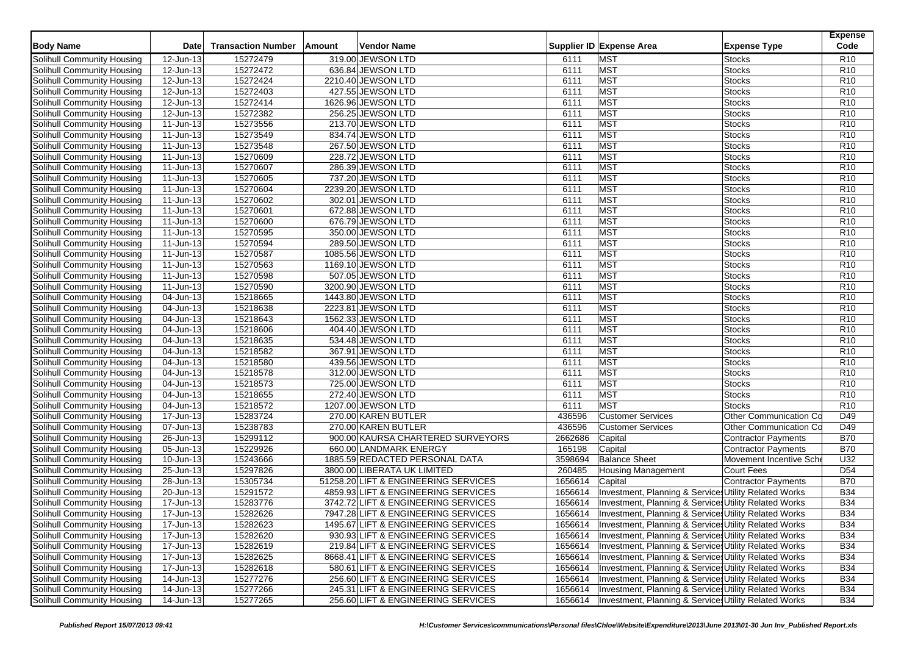| <b>Body Name</b>                                         | <b>Date</b>             | <b>Transaction Number</b> | Amount | Vendor Name                                              |                   | Supplier ID Expense Area                              | <b>Expense Type</b>                            | <b>Expense</b><br>Code |
|----------------------------------------------------------|-------------------------|---------------------------|--------|----------------------------------------------------------|-------------------|-------------------------------------------------------|------------------------------------------------|------------------------|
| Solihull Community Housing                               | 12-Jun-13               | 15272479                  |        | 319.00 JEWSON LTD                                        | 6111              | <b>MST</b>                                            | <b>Stocks</b>                                  | R <sub>10</sub>        |
| Solihull Community Housing                               | 12-Jun-13               | 15272472                  |        | 636.84 JEWSON LTD                                        | 6111              | <b>MST</b>                                            | <b>Stocks</b>                                  | R10                    |
| Solihull Community Housing                               | 12-Jun-13               | 15272424                  |        | 2210.40 JEWSON LTD                                       | 6111              | <b>MST</b>                                            | <b>Stocks</b>                                  | R <sub>10</sub>        |
| Solihull Community Housing                               | 12-Jun-13               | 15272403                  |        | 427.55 JEWSON LTD                                        | 6111              | MST                                                   | <b>Stocks</b>                                  | R <sub>10</sub>        |
| Solihull Community Housing                               | 12-Jun-13               | 15272414                  |        | 1626.96 JEWSON LTD                                       | 6111              | <b>MST</b>                                            | <b>Stocks</b>                                  | R10                    |
| Solihull Community Housing                               | 12-Jun-13               | 15272382                  |        | 256.25 JEWSON LTD                                        | 6111              | MST                                                   | <b>Stocks</b>                                  | R <sub>10</sub>        |
| Solihull Community Housing                               | 11-Jun-13               | 15273556                  |        | 213.70 JEWSON LTD                                        | 6111              | MST                                                   | <b>Stocks</b>                                  | R <sub>10</sub>        |
| Solihull Community Housing                               | 11-Jun-13               | 15273549                  |        | 834.74 JEWSON LTD                                        | 6111              | <b>MST</b>                                            | <b>Stocks</b>                                  | R <sub>10</sub>        |
| Solihull Community Housing                               | 11-Jun-13               | 15273548                  |        | 267.50 JEWSON LTD                                        | 6111              | MST                                                   | <b>Stocks</b>                                  | R <sub>10</sub>        |
| Solihull Community Housing                               | $11$ -Jun-13            | 15270609                  |        | 228.72 JEWSON LTD                                        | 6111              | MST                                                   | Stocks                                         | R <sub>10</sub>        |
| Solihull Community Housing                               | 11-Jun-13               | 15270607                  |        | 286.39 JEWSON LTD                                        | 6111              | <b>MST</b>                                            | <b>Stocks</b>                                  | R <sub>10</sub>        |
| Solihull Community Housing                               | $11$ -Jun-13            | 15270605                  |        | 737.20 JEWSON LTD                                        | 6111              | MST                                                   | <b>Stocks</b>                                  | R <sub>10</sub>        |
| Solihull Community Housing                               | 11-Jun-13               | 15270604                  |        | 2239.20 JEWSON LTD                                       | 6111              | <b>MST</b>                                            | <b>Stocks</b>                                  | R10                    |
| Solihull Community Housing                               | 11-Jun-13               | 15270602                  |        | 302.01 JEWSON LTD                                        | 6111              | MST                                                   | <b>Stocks</b>                                  | R <sub>10</sub>        |
| Solihull Community Housing                               | 11-Jun-13               | 15270601                  |        | 672.88 JEWSON LTD                                        | 6111              | <b>MST</b>                                            | <b>Stocks</b>                                  | R <sub>10</sub>        |
| Solihull Community Housing                               | 11-Jun-13               | 15270600                  |        | 676.79 JEWSON LTD                                        | 6111              | <b>MST</b>                                            | <b>Stocks</b>                                  | R10                    |
| Solihull Community Housing                               | 11-Jun-13               | 15270595                  |        | 350.00 JEWSON LTD                                        | 6111              | <b>MST</b>                                            | <b>Stocks</b>                                  | R <sub>10</sub>        |
| Solihull Community Housing                               | 11-Jun-13               | 15270594                  |        | 289.50 JEWSON LTD                                        | 6111              | MST                                                   | <b>Stocks</b>                                  | R <sub>10</sub>        |
| Solihull Community Housing                               | 11-Jun-13               | 15270587                  |        | 1085.56 JEWSON LTD                                       | 6111              | <b>MST</b>                                            | <b>Stocks</b>                                  | R10                    |
| Solihull Community Housing                               | 11-Jun-13               | 15270563                  |        | 1169.10 JEWSON LTD                                       | 6111              | MST                                                   | Stocks                                         | R <sub>10</sub>        |
| Solihull Community Housing                               | 11-Jun-13               | 15270598                  |        | 507.05 JEWSON LTD                                        | 6111              | MST                                                   | Stocks                                         | R <sub>10</sub>        |
| <b>Solihull Community Housing</b>                        | 11-Jun-13               | 15270590                  |        | 3200.90 JEWSON LTD                                       | 6111              | <b>MST</b>                                            | <b>Stocks</b>                                  | R <sub>10</sub>        |
| Solihull Community Housing                               | 04-Jun-13               | 15218665                  |        | 1443.80 JEWSON LTD                                       | 6111              | <b>MST</b>                                            | Stocks                                         | R10                    |
| Solihull Community Housing                               | 04-Jun-13               | 15218638                  |        | 2223.81 JEWSON LTD                                       | 6111              | MST                                                   | <b>Stocks</b>                                  | R <sub>10</sub>        |
| Solihull Community Housing                               | $\overline{04}$ -Jun-13 | 15218643                  |        | 1562.33 JEWSON LTD                                       | 6111              | <b>MST</b>                                            | <b>Stocks</b>                                  | R10                    |
| Solihull Community Housing                               | 04-Jun-13               | 15218606                  |        | 404.40 JEWSON LTD                                        | 6111              | MST                                                   | Stocks                                         | R <sub>10</sub>        |
| Solihull Community Housing                               | $\overline{04}$ -Jun-13 | 15218635                  |        | 534.48 JEWSON LTD                                        | 6111              | MST                                                   | Stocks                                         | R <sub>10</sub>        |
| Solihull Community Housing                               | 04-Jun-13               | 15218582                  |        | 367.91 JEWSON LTD                                        | 6111              | <b>MST</b>                                            | <b>Stocks</b>                                  | R10                    |
| Solihull Community Housing                               | 04-Jun-13               | 15218580                  |        | 439.56 JEWSON LTD                                        | 6111              | <b>MST</b>                                            | <b>Stocks</b>                                  | R <sub>10</sub>        |
| Solihull Community Housing                               | 04-Jun-13               | 15218578                  |        | 312.00 JEWSON LTD                                        | 6111              | MST                                                   | <b>Stocks</b>                                  | R <sub>10</sub>        |
| Solihull Community Housing                               | 04-Jun-13               | 15218573                  |        | 725.00 JEWSON LTD                                        | 6111              | <b>MST</b>                                            | Stocks                                         | R10                    |
|                                                          | 04-Jun-13               | 15218655                  |        | 272.40 JEWSON LTD                                        | 6111              | MST                                                   | Stocks                                         | R <sub>10</sub>        |
| Solihull Community Housing                               |                         |                           |        |                                                          | 6111              | MST                                                   | <b>Stocks</b>                                  | R <sub>10</sub>        |
| Solihull Community Housing                               | 04-Jun-13               | 15218572                  |        | 1207.00 JEWSON LTD                                       |                   | <b>Customer Services</b>                              | Other Communication Co                         | D49                    |
| Solihull Community Housing                               | 17-Jun-13               | 15283724                  |        | 270.00 KAREN BUTLER                                      | 436596            |                                                       | Other Communication Cd                         | D49                    |
| Solihull Community Housing                               | 07-Jun-13<br>26-Jun-13  | 15238783<br>15299112      |        | 270.00 KAREN BUTLER<br>900.00 KAURSA CHARTERED SURVEYORS | 436596<br>2662686 | <b>Customer Services</b><br>Capital                   |                                                | <b>B70</b>             |
| Solihull Community Housing                               |                         |                           |        |                                                          |                   |                                                       | <b>Contractor Payments</b>                     | <b>B70</b>             |
| Solihull Community Housing<br>Solihull Community Housing | 05-Jun-13               | 15229926                  |        | 660.00 LANDMARK ENERGY                                   | 165198            | Capital                                               | Contractor Payments<br>Movement Incentive Sche | U32                    |
|                                                          | 10-Jun-13               | 15243666                  |        | 1885.59 REDACTED PERSONAL DATA                           | 3598694<br>260485 | <b>Balance Sheet</b>                                  |                                                | D <sub>54</sub>        |
| Solihull Community Housing                               | 25-Jun-13               | 15297826                  |        | 3800.00 LIBERATA UK LIMITED                              |                   | <b>Housing Management</b>                             | Court Fees                                     |                        |
| Solihull Community Housing                               | 28-Jun-13               | 15305734                  |        | 51258.20 LIFT & ENGINEERING SERVICES                     | 1656614           | Capital                                               | Contractor Payments                            | <b>B70</b>             |
| Solihull Community Housing                               | 20-Jun-13               | 15291572                  |        | 4859.93 LIFT & ENGINEERING SERVICES                      | 1656614           | Investment, Planning & Services Utility Related Works |                                                | <b>B34</b>             |
| Solihull Community Housing                               | 17-Jun-13               | 15283776                  |        | 3742.72 LIFT & ENGINEERING SERVICES                      | 1656614           | Investment, Planning & Services Utility Related Works |                                                | <b>B34</b>             |
| Solihull Community Housing                               | 17-Jun-13               | 15282626                  |        | 7947.28 LIFT & ENGINEERING SERVICES                      | 1656614           | Investment, Planning & Services Utility Related Works |                                                | <b>B34</b>             |
| Solihull Community Housing                               | 17-Jun-13               | 15282623                  |        | 1495.67 LIFT & ENGINEERING SERVICES                      | 1656614           | Investment, Planning & Services Utility Related Works |                                                | <b>B34</b>             |
| Solihull Community Housing                               | 17-Jun-13               | 15282620                  |        | 930.93 LIFT & ENGINEERING SERVICES                       | 1656614           | Investment, Planning & Services Utility Related Works |                                                | <b>B34</b>             |
| Solihull Community Housing                               | 17-Jun-13               | 15282619                  |        | 219.84 LIFT & ENGINEERING SERVICES                       | 1656614           | Investment, Planning & Services Utility Related Works |                                                | <b>B34</b>             |
| Solihull Community Housing                               | 17-Jun-13               | 15282625                  |        | 8668.41 LIFT & ENGINEERING SERVICES                      | 1656614           | Investment, Planning & Services Utility Related Works |                                                | <b>B34</b>             |
| Solihull Community Housing                               | 17-Jun-13               | 15282618                  |        | 580.61 LIFT & ENGINEERING SERVICES                       | 1656614           | Investment, Planning & Services Utility Related Works |                                                | <b>B34</b>             |
| Solihull Community Housing                               | 14-Jun-13               | 15277276                  |        | 256.60 LIFT & ENGINEERING SERVICES                       | 1656614           | Investment, Planning & Services Utility Related Works |                                                | <b>B34</b>             |
| Solihull Community Housing                               | 14-Jun-13               | 15277266                  |        | 245.31 LIFT & ENGINEERING SERVICES                       | 1656614           | Investment, Planning & Services Utility Related Works |                                                | <b>B34</b>             |
| Solihull Community Housing                               | 14-Jun-13               | 15277265                  |        | 256.60 LIFT & ENGINEERING SERVICES                       | 1656614           | Investment, Planning & Services Utility Related Works |                                                | <b>B34</b>             |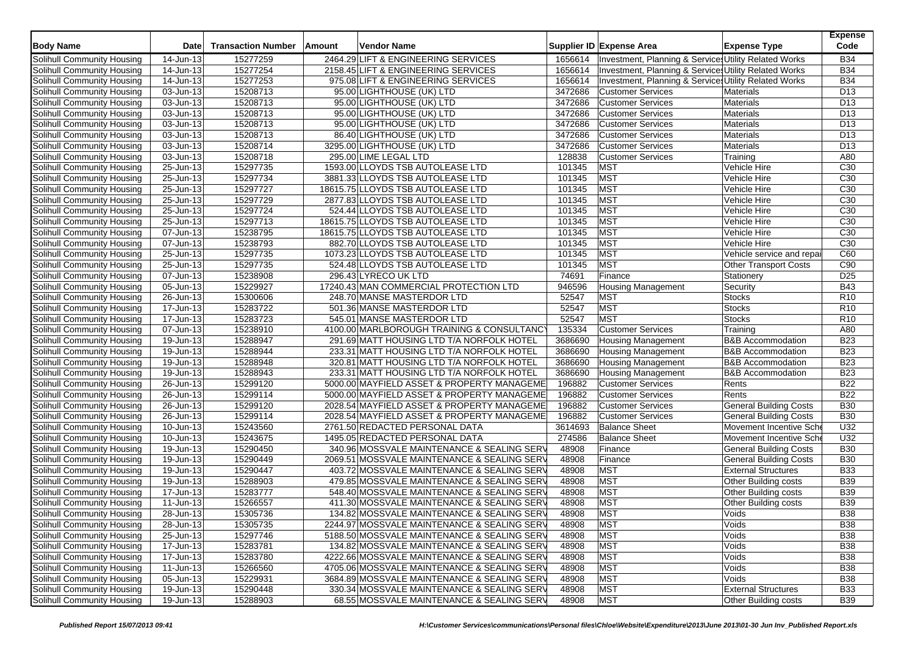| <b>Body Name</b>                  | <b>Date</b>             | <b>Transaction Number</b> | Amount | Vendor Name                                 |         | Supplier ID Expense Area                              | <b>Expense Type</b>           | <b>Expense</b><br>Code |
|-----------------------------------|-------------------------|---------------------------|--------|---------------------------------------------|---------|-------------------------------------------------------|-------------------------------|------------------------|
| Solihull Community Housing        | 14-Jun-13               | 15277259                  |        | 2464.29 LIFT & ENGINEERING SERVICES         | 1656614 | Investment, Planning & Services Utility Related Works |                               | <b>B34</b>             |
| Solihull Community Housing        | 14-Jun-13               | 15277254                  |        | 2158.45 LIFT & ENGINEERING SERVICES         | 1656614 | Investment, Planning & Services Utility Related Works |                               | <b>B34</b>             |
| Solihull Community Housing        | 14-Jun-13               | 15277253                  |        | 975.08 LIFT & ENGINEERING SERVICES          | 1656614 | Investment, Planning & Services Utility Related Works |                               | <b>B34</b>             |
| Solihull Community Housing        | 03-Jun-13               | 15208713                  |        | 95.00 LIGHTHOUSE (UK) LTD                   | 3472686 | <b>Customer Services</b>                              | <b>Materials</b>              | D <sub>13</sub>        |
| Solihull Community Housing        | 03-Jun-13               | 15208713                  |        | 95.00 LIGHTHOUSE (UK) LTD                   | 3472686 | <b>Customer Services</b>                              | <b>Materials</b>              | D13                    |
| Solihull Community Housing        | 03-Jun-13               | 15208713                  |        | 95.00 LIGHTHOUSE (UK) LTD                   | 3472686 | <b>Customer Services</b>                              | Materials                     | D <sub>13</sub>        |
| Solihull Community Housing        | 03-Jun-13               | 15208713                  |        | 95.00 LIGHTHOUSE (UK) LTD                   | 3472686 | <b>Customer Services</b>                              | Materials                     | D <sub>13</sub>        |
| Solihull Community Housing        | 03-Jun-13               | 15208713                  |        | 86.40 LIGHTHOUSE (UK) LTD                   | 3472686 | <b>Customer Services</b>                              | <b>Materials</b>              | D <sub>13</sub>        |
| Solihull Community Housing        | 03-Jun-13               | 15208714                  |        | 3295.00 LIGHTHOUSE (UK) LTD                 | 3472686 | <b>Customer Services</b>                              | <b>Materials</b>              | D <sub>13</sub>        |
| Solihull Community Housing        | 03-Jun-13               | 15208718                  |        | 295.00 LIME LEGAL LTD                       | 128838  | <b>Customer Services</b>                              | Training                      | A80                    |
| Solihull Community Housing        | 25-Jun-13               | 15297735                  |        | 1593.00 LLOYDS TSB AUTOLEASE LTD            | 101345  | <b>MST</b>                                            | Vehicle Hire                  | C30                    |
| Solihull Community Housing        | 25-Jun-13               | 15297734                  |        | 3881.33 LLOYDS TSB AUTOLEASE LTD            | 101345  | <b>MST</b>                                            | Vehicle Hire                  | C30                    |
| Solihull Community Housing        | 25-Jun-13               | 15297727                  |        | 18615.75 LLOYDS TSB AUTOLEASE LTD           | 101345  | <b>MST</b>                                            | Vehicle Hire                  | C30                    |
| Solihull Community Housing        | 25-Jun-13               | 15297729                  |        | 2877.83 LLOYDS TSB AUTOLEASE LTD            | 101345  | <b>MST</b>                                            | Vehicle Hire                  | C30                    |
| Solihull Community Housing        | 25-Jun-13               | 15297724                  |        | 524.44 LLOYDS TSB AUTOLEASE LTD             | 101345  | <b>MST</b>                                            | Vehicle Hire                  | C30                    |
| Solihull Community Housing        | $\overline{25}$ -Jun-13 | 15297713                  |        | 18615.75 LLOYDS TSB AUTOLEASE LTD           | 101345  | <b>MST</b>                                            | Vehicle Hire                  | C30                    |
| Solihull Community Housing        | 07-Jun-13               | 15238795                  |        | 18615.75 LLOYDS TSB AUTOLEASE LTD           | 101345  | <b>MST</b>                                            | Vehicle Hire                  | C30                    |
| Solihull Community Housing        | 07-Jun-13               | 15238793                  |        | 882.70 LLOYDS TSB AUTOLEASE LTD             | 101345  | <b>MST</b>                                            | Vehicle Hire                  | C <sub>30</sub>        |
| Solihull Community Housing        | 25-Jun-13               | 15297735                  |        | 1073.23 LLOYDS TSB AUTOLEASE LTD            | 101345  | <b>MST</b>                                            | Vehicle service and repai     | C60                    |
| Solihull Community Housing        | 25-Jun-13               | 15297735                  |        | 524.48 LLOYDS TSB AUTOLEASE LTD             | 101345  | <b>MST</b>                                            | <b>Other Transport Costs</b>  | C90                    |
| Solihull Community Housing        | $\overline{07}$ -Jun-13 | 15238908                  |        | 296.43 LYRECO UK LTD                        | 74691   | Finance                                               | Stationery                    | D <sub>25</sub>        |
| Solihull Community Housing        | 05-Jun-13               | 15229927                  |        | 17240.43 MAN COMMERCIAL PROTECTION LTD      | 946596  | <b>Housing Management</b>                             | Security                      | <b>B43</b>             |
| Solihull Community Housing        | 26-Jun-13               | 15300606                  |        | 248.70 MANSE MASTERDOR LTD                  | 52547   | <b>MST</b>                                            | <b>Stocks</b>                 | R <sub>10</sub>        |
| Solihull Community Housing        | 17-Jun-13               | 15283722                  |        | 501.36 MANSE MASTERDOR LTD                  | 52547   | <b>MST</b>                                            | <b>Stocks</b>                 | R <sub>10</sub>        |
| Solihull Community Housing        | $\overline{17}$ -Jun-13 | 15283723                  |        | 545.01 MANSE MASTERDOR LTD                  | 52547   | <b>MST</b>                                            | <b>Stocks</b>                 | R10                    |
| Solihull Community Housing        | 07-Jun-13               | 15238910                  |        | 4100.00 MARLBOROUGH TRAINING & CONSULTANC'  | 135334  | <b>Customer Services</b>                              | Training                      | A80                    |
| Solihull Community Housing        | 19-Jun-13               | 15288947                  |        | 291.69 MATT HOUSING LTD T/A NORFOLK HOTEL   | 3686690 | <b>Housing Management</b>                             | <b>B&amp;B Accommodation</b>  | <b>B23</b>             |
| Solihull Community Housing        | $\overline{19}$ -Jun-13 | 15288944                  |        | 233.31 MATT HOUSING LTD T/A NORFOLK HOTEL   | 3686690 | <b>Housing Management</b>                             | <b>B&amp;B</b> Accommodation  | <b>B23</b>             |
| Solihull Community Housing        | 19-Jun-13               | 15288948                  |        | 320.81 MATT HOUSING LTD T/A NORFOLK HOTEL   | 3686690 | <b>Housing Management</b>                             | <b>B&amp;B Accommodation</b>  | <b>B23</b>             |
| Solihull Community Housing        | 19-Jun-13               | 15288943                  |        | 233.31 MATT HOUSING LTD T/A NORFOLK HOTEL   | 3686690 | <b>Housing Management</b>                             | <b>B&amp;B</b> Accommodation  | <b>B23</b>             |
| Solihull Community Housing        | 26-Jun-13               | 15299120                  |        | 5000.00 MAYFIELD ASSET & PROPERTY MANAGEME  | 196882  | <b>Customer Services</b>                              | Rents                         | <b>B22</b>             |
| Solihull Community Housing        | 26-Jun-13               | 15299114                  |        | 5000.00 MAYFIELD ASSET & PROPERTY MANAGEME  | 196882  | <b>Customer Services</b>                              | Rents                         | <b>B22</b>             |
| Solihull Community Housing        | 26-Jun-13               | 15299120                  |        | 2028.54 MAYFIELD ASSET & PROPERTY MANAGEME  | 196882  | <b>Customer Services</b>                              | <b>General Building Costs</b> | <b>B30</b>             |
| Solihull Community Housing        | 26-Jun-13               | 15299114                  |        | 2028.54 MAYFIELD ASSET & PROPERTY MANAGEME  | 196882  | <b>Customer Services</b>                              | <b>General Building Costs</b> | <b>B30</b>             |
| Solihull Community Housing        | 10-Jun-13               | 15243560                  |        | 2761.50 REDACTED PERSONAL DATA              | 3614693 | <b>Balance Sheet</b>                                  | Movement Incentive Sche       | U32                    |
| Solihull Community Housing        | $10$ -Jun-13            | 15243675                  |        | 1495.05 REDACTED PERSONAL DATA              | 274586  | <b>Balance Sheet</b>                                  | Movement Incentive Sche       | U <sub>32</sub>        |
| Solihull Community Housing        | 19-Jun-13               | 15290450                  |        | 340.96 MOSSVALE MAINTENANCE & SEALING SERV  | 48908   | Finance                                               | <b>General Building Costs</b> | <b>B30</b>             |
| Solihull Community Housing        | 19-Jun-13               | 15290449                  |        | 2069.51 MOSSVALE MAINTENANCE & SEALING SERV | 48908   | Finance                                               | <b>General Building Costs</b> | <b>B30</b>             |
| Solihull Community Housing        | 19-Jun-13               | 15290447                  |        | 403.72 MOSSVALE MAINTENANCE & SEALING SERV  | 48908   | <b>MST</b>                                            | <b>External Structures</b>    | <b>B33</b>             |
| Solihull Community Housing        | 19-Jun-13               | 15288903                  |        | 479.85 MOSSVALE MAINTENANCE & SEALING SERV  | 48908   | <b>MST</b>                                            | Other Building costs          | <b>B39</b>             |
| Solihull Community Housing        | 17-Jun-13               | 15283777                  |        | 548.40 MOSSVALE MAINTENANCE & SEALING SERV  | 48908   | MST                                                   | Other Building costs          | <b>B39</b>             |
| Solihull Community Housing        | 11-Jun-13               | 15266557                  |        | 411.30 MOSSVALE MAINTENANCE & SEALING SERV  | 48908   | <b>MST</b>                                            | Other Building costs          | <b>B39</b>             |
| Solihull Community Housing        | 28-Jun-13               | 15305736                  |        | 134.82 MOSSVALE MAINTENANCE & SEALING SERV  | 48908   | <b>MST</b>                                            | Voids                         | <b>B</b> 38            |
| Solihull Community Housing        | 28-Jun-13               | 15305735                  |        | 2244.97 MOSSVALE MAINTENANCE & SEALING SERV | 48908   | <b>MST</b>                                            | Voids                         | <b>B38</b>             |
| Solihull Community Housing        | 25-Jun-13               | 15297746                  |        | 5188.50 MOSSVALE MAINTENANCE & SEALING SERV | 48908   | <b>MST</b>                                            | Voids                         | <b>B38</b>             |
| Solihull Community Housing        | 17-Jun-13               | 15283781                  |        | 134.82 MOSSVALE MAINTENANCE & SEALING SERV  | 48908   | MST                                                   | Voids                         | <b>B38</b>             |
| Solihull Community Housing        | 17-Jun-13               | 15283780                  |        | 4222.66 MOSSVALE MAINTENANCE & SEALING SERV | 48908   | <b>MST</b>                                            | Voids                         | <b>B38</b>             |
| Solihull Community Housing        | 11-Jun-13               | 15266560                  |        | 4705.06 MOSSVALE MAINTENANCE & SEALING SERV | 48908   | <b>MST</b>                                            | Voids                         | <b>B38</b>             |
| Solihull Community Housing        | 05-Jun-13               | 15229931                  |        | 3684.89 MOSSVALE MAINTENANCE & SEALING SERV | 48908   | <b>MST</b>                                            | Voids                         | <b>B38</b>             |
| <b>Solihull Community Housing</b> | 19-Jun-13               | 15290448                  |        | 330.34 MOSSVALE MAINTENANCE & SEALING SERV  | 48908   | <b>MST</b>                                            | <b>External Structures</b>    | <b>B33</b>             |
| Solihull Community Housing        | 19-Jun-13               | 15288903                  |        | 68.55 MOSSVALE MAINTENANCE & SEALING SERV   | 48908   | <b>MST</b>                                            | Other Building costs          | <b>B39</b>             |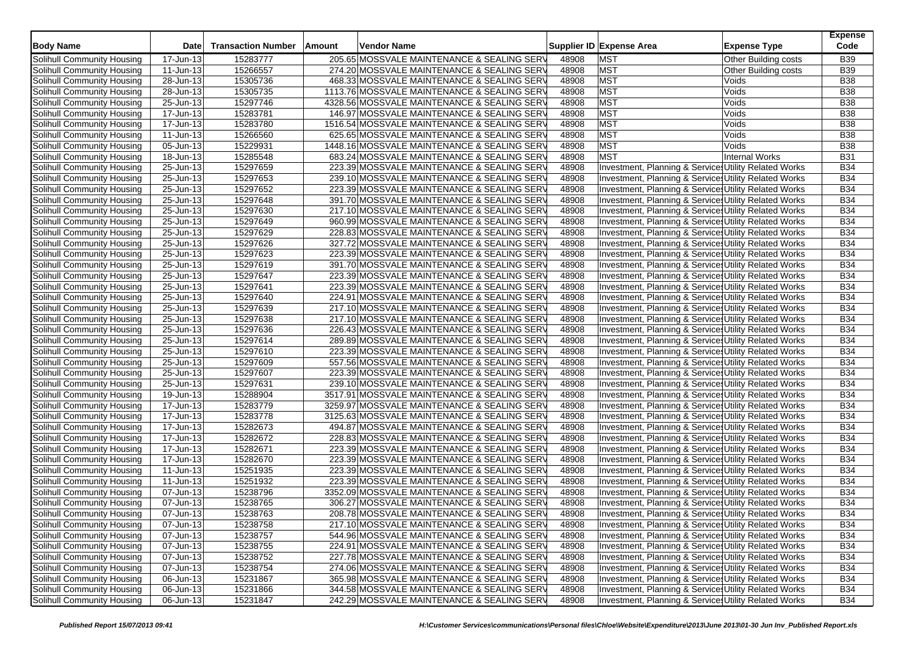| <b>Body Name</b>           | <b>Date</b>             | <b>Transaction Number</b> | Amount | Vendor Name                                 |       | <b>Supplier ID Expense Area</b>                       | <b>Expense Type</b>         | <b>Expense</b><br>Code |
|----------------------------|-------------------------|---------------------------|--------|---------------------------------------------|-------|-------------------------------------------------------|-----------------------------|------------------------|
| Solihull Community Housing | 17-Jun-13               | 15283777                  |        | 205.65 MOSSVALE MAINTENANCE & SEALING SERV  | 48908 | MST                                                   | <b>Other Building costs</b> | <b>B39</b>             |
| Solihull Community Housing | 11-Jun-13               | 15266557                  |        | 274.20 MOSSVALE MAINTENANCE & SEALING SERV  | 48908 | <b>MST</b>                                            | Other Building costs        | <b>B39</b>             |
| Solihull Community Housing | 28-Jun-13               | 15305736                  |        | 468.33 MOSSVALE MAINTENANCE & SEALING SERV  | 48908 | <b>MST</b>                                            | Voids                       | <b>B38</b>             |
| Solihull Community Housing | 28-Jun-13               | 15305735                  |        | 1113.76 MOSSVALE MAINTENANCE & SEALING SERV | 48908 | MST                                                   | Voids                       | <b>B38</b>             |
| Solihull Community Housing | 25-Jun-13               | 15297746                  |        | 4328.56 MOSSVALE MAINTENANCE & SEALING SERV | 48908 | <b>MST</b>                                            | Voids                       | <b>B38</b>             |
| Solihull Community Housing | 17-Jun-13               | 15283781                  |        | 146.97 MOSSVALE MAINTENANCE & SEALING SERV  | 48908 | MST                                                   | Voids                       | <b>B38</b>             |
| Solihull Community Housing | 17-Jun-13               | 15283780                  |        | 1516.54 MOSSVALE MAINTENANCE & SEALING SERV | 48908 | MST                                                   | Voids                       | <b>B38</b>             |
| Solihull Community Housing | 11-Jun-13               | 15266560                  |        | 625.65 MOSSVALE MAINTENANCE & SEALING SERV  | 48908 | <b>MST</b>                                            | Voids                       | <b>B38</b>             |
| Solihull Community Housing | 05-Jun-13               | 15229931                  |        | 1448.16 MOSSVALE MAINTENANCE & SEALING SERV | 48908 | <b>MST</b>                                            | Voids                       | <b>B38</b>             |
| Solihull Community Housing | 18-Jun-13               | 15285548                  |        | 683.24 MOSSVALE MAINTENANCE & SEALING SERV  | 48908 | MST                                                   | <b>Internal Works</b>       | <b>B31</b>             |
| Solihull Community Housing | 25-Jun-13               | 15297659                  |        | 223.39 MOSSVALE MAINTENANCE & SEALING SERV  | 48908 | Investment, Planning & Services Utility Related Works |                             | <b>B34</b>             |
| Solihull Community Housing | 25-Jun-13               | 15297653                  |        | 239.10 MOSSVALE MAINTENANCE & SEALING SERV  | 48908 | Investment, Planning & Services Utility Related Works |                             | <b>B34</b>             |
| Solihull Community Housing | 25-Jun-13               | 15297652                  |        | 223.39 MOSSVALE MAINTENANCE & SEALING SERV  | 48908 | Investment, Planning & Services Utility Related Works |                             | <b>B34</b>             |
| Solihull Community Housing | 25-Jun-13               | 15297648                  |        | 391.70 MOSSVALE MAINTENANCE & SEALING SERV  | 48908 | Investment, Planning & Services Utility Related Works |                             | <b>B34</b>             |
| Solihull Community Housing | 25-Jun-13               | 15297630                  |        | 217.10 MOSSVALE MAINTENANCE & SEALING SERV  | 48908 | Investment, Planning & Services Utility Related Works |                             | <b>B34</b>             |
| Solihull Community Housing | 25-Jun-13               | 15297649                  |        | 960.99 MOSSVALE MAINTENANCE & SEALING SERV  | 48908 | Investment, Planning & Services Utility Related Works |                             | <b>B34</b>             |
| Solihull Community Housing | 25-Jun-13               | 15297629                  |        | 228.83 MOSSVALE MAINTENANCE & SEALING SERV  | 48908 | Investment, Planning & Services Utility Related Works |                             | <b>B34</b>             |
| Solihull Community Housing | 25-Jun-13               | 15297626                  |        | 327.72 MOSSVALE MAINTENANCE & SEALING SERV  | 48908 | Investment, Planning & Services Utility Related Works |                             | <b>B34</b>             |
| Solihull Community Housing | 25-Jun-13               | 15297623                  |        | 223.39 MOSSVALE MAINTENANCE & SEALING SERV  | 48908 | Investment, Planning & Services Utility Related Works |                             | <b>B34</b>             |
| Solihull Community Housing | 25-Jun-13               | 15297619                  |        | 391.70 MOSSVALE MAINTENANCE & SEALING SERV  | 48908 | Investment, Planning & Services Utility Related Works |                             | <b>B34</b>             |
| Solihull Community Housing | 25-Jun-13               | 15297647                  |        | 223.39 MOSSVALE MAINTENANCE & SEALING SERV  | 48908 | Investment, Planning & Services Utility Related Works |                             | <b>B34</b>             |
| Solihull Community Housing | $\overline{25}$ -Jun-13 | 15297641                  |        | 223.39 MOSSVALE MAINTENANCE & SEALING SERV  | 48908 | Investment, Planning & Services Utility Related Works |                             | <b>B34</b>             |
| Solihull Community Housing | 25-Jun-13               | 15297640                  |        | 224.91 MOSSVALE MAINTENANCE & SEALING SERV  | 48908 | Investment, Planning & Services Utility Related Works |                             | <b>B34</b>             |
| Solihull Community Housing | 25-Jun-13               | 15297639                  |        | 217.10 MOSSVALE MAINTENANCE & SEALING SERV  | 48908 | Investment, Planning & Services Utility Related Works |                             | <b>B34</b>             |
| Solihull Community Housing | 25-Jun-13               | 15297638                  |        | 217.10 MOSSVALE MAINTENANCE & SEALING SERV  | 48908 | Investment, Planning & Services Utility Related Works |                             | <b>B34</b>             |
| Solihull Community Housing | 25-Jun-13               | 15297636                  |        | 226.43 MOSSVALE MAINTENANCE & SEALING SERV  | 48908 | Investment, Planning & Services Utility Related Works |                             | <b>B34</b>             |
| Solihull Community Housing | 25-Jun-13               | 15297614                  |        | 289.89 MOSSVALE MAINTENANCE & SEALING SERV  | 48908 | Investment, Planning & Services Utility Related Works |                             | <b>B34</b>             |
| Solihull Community Housing | 25-Jun-13               | 15297610                  |        | 223.39 MOSSVALE MAINTENANCE & SEALING SERV  | 48908 | Investment, Planning & Services Utility Related Works |                             | <b>B34</b>             |
| Solihull Community Housing | 25-Jun-13               | 15297609                  |        | 557.56 MOSSVALE MAINTENANCE & SEALING SERV  | 48908 | Investment, Planning & Services Utility Related Works |                             | <b>B34</b>             |
| Solihull Community Housing | 25-Jun-13               | 15297607                  |        | 223.39 MOSSVALE MAINTENANCE & SEALING SERV  | 48908 | Investment, Planning & Service Utility Related Works  |                             | <b>B34</b>             |
| Solihull Community Housing | 25-Jun-13               | 15297631                  |        | 239.10 MOSSVALE MAINTENANCE & SEALING SERV  | 48908 | Investment, Planning & Services Utility Related Works |                             | <b>B34</b>             |
| Solihull Community Housing | 19-Jun-13               | 15288904                  |        | 3517.91 MOSSVALE MAINTENANCE & SEALING SERV | 48908 | Investment, Planning & Services Utility Related Works |                             | <b>B34</b>             |
| Solihull Community Housing | 17-Jun-13               | 15283779                  |        | 3259.97 MOSSVALE MAINTENANCE & SEALING SERV | 48908 | Investment, Planning & Services Utility Related Works |                             | <b>B34</b>             |
| Solihull Community Housing | 17-Jun-13               | 15283778                  |        | 3125.63 MOSSVALE MAINTENANCE & SEALING SERV | 48908 | Investment, Planning & Services Utility Related Works |                             | <b>B34</b>             |
| Solihull Community Housing | 17-Jun-13               | 15282673                  |        | 494.87 MOSSVALE MAINTENANCE & SEALING SERV  | 48908 | Investment, Planning & Services Utility Related Works |                             | <b>B34</b>             |
| Solihull Community Housing | 17-Jun-13               | 15282672                  |        | 228.83 MOSSVALE MAINTENANCE & SEALING SERV  | 48908 | Investment, Planning & Services Utility Related Works |                             | <b>B34</b>             |
| Solihull Community Housing | 17-Jun-13               | 15282671                  |        | 223.39 MOSSVALE MAINTENANCE & SEALING SERV  | 48908 | Investment, Planning & Services Utility Related Works |                             | <b>B34</b>             |
| Solihull Community Housing | 17-Jun-13               | 15282670                  |        | 223.39 MOSSVALE MAINTENANCE & SEALING SERV  | 48908 | Investment, Planning & Services Utility Related Works |                             | <b>B34</b>             |
| Solihull Community Housing | 11-Jun-13               | 15251935                  |        | 223.39 MOSSVALE MAINTENANCE & SEALING SERV  | 48908 | Investment, Planning & Services Utility Related Works |                             | <b>B34</b>             |
| Solihull Community Housing | 11-Jun-13               | 15251932                  |        | 223.39 MOSSVALE MAINTENANCE & SEALING SERV  | 48908 | Investment, Planning & Services Utility Related Works |                             | <b>B34</b>             |
| Solihull Community Housing | 07-Jun-13               | 15238796                  |        | 3352.09 MOSSVALE MAINTENANCE & SEALING SERV | 48908 | Investment, Planning & Services Utility Related Works |                             | <b>B34</b>             |
| Solihull Community Housing | 07-Jun-13               | 15238765                  |        | 306.27 MOSSVALE MAINTENANCE & SEALING SERV  | 48908 | Investment, Planning & Services Utility Related Works |                             | <b>B34</b>             |
| Solihull Community Housing | 07-Jun-13               | 15238763                  |        | 208.78 MOSSVALE MAINTENANCE & SEALING SERV  | 48908 | Investment, Planning & Services Utility Related Works |                             | <b>B34</b>             |
| Solihull Community Housing | 07-Jun-13               | 15238758                  |        | 217.10 MOSSVALE MAINTENANCE & SEALING SERV  | 48908 | Investment, Planning & Services Utility Related Works |                             | <b>B34</b>             |
| Solihull Community Housing | 07-Jun-13               | 15238757                  |        | 544.96 MOSSVALE MAINTENANCE & SEALING SERV  | 48908 | Investment, Planning & Services Utility Related Works |                             | <b>B34</b>             |
| Solihull Community Housing | 07-Jun-13               | 15238755                  |        | 224.91 MOSSVALE MAINTENANCE & SEALING SERV  | 48908 | Investment, Planning & Services Utility Related Works |                             | <b>B34</b>             |
| Solihull Community Housing | 07-Jun-13               | 15238752                  |        | 227.78 MOSSVALE MAINTENANCE & SEALING SERV  | 48908 | Investment, Planning & Services Utility Related Works |                             | <b>B34</b>             |
| Solihull Community Housing | $\overline{07}$ -Jun-13 | 15238754                  |        | 274.06 MOSSVALE MAINTENANCE & SEALING SERV  | 48908 | Investment, Planning & Services Utility Related Works |                             | <b>B34</b>             |
| Solihull Community Housing | 06-Jun-13               | 15231867                  |        | 365.98 MOSSVALE MAINTENANCE & SEALING SERV  | 48908 | Investment, Planning & Services Utility Related Works |                             | <b>B34</b>             |
| Solihull Community Housing | 06-Jun-13               | 15231866                  |        | 344.58 MOSSVALE MAINTENANCE & SEALING SERV  | 48908 | Investment, Planning & Services Utility Related Works |                             | <b>B34</b>             |
| Solihull Community Housing | 06-Jun-13               | 15231847                  |        | 242.29 MOSSVALE MAINTENANCE & SEALING SERV  | 48908 | Investment, Planning & Services Utility Related Works |                             | <b>B34</b>             |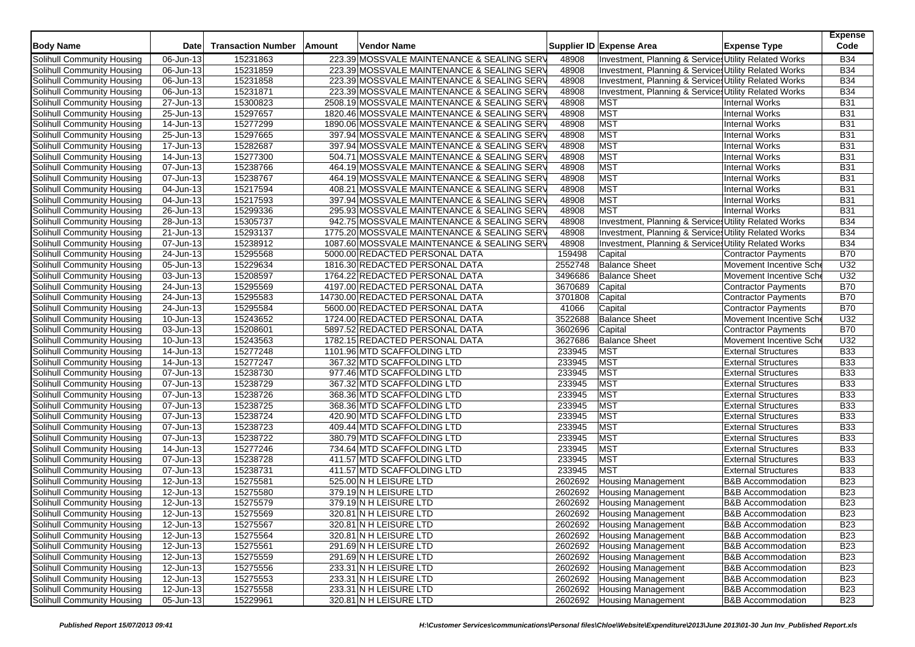| <b>Body Name</b>                                         | <b>Date</b>             | <b>Transaction Number</b> | Amount | <b>Vendor Name</b>                                       |                    | Supplier ID Expense Area                              | <b>Expense Type</b>                                          | <b>Expense</b><br>Code   |
|----------------------------------------------------------|-------------------------|---------------------------|--------|----------------------------------------------------------|--------------------|-------------------------------------------------------|--------------------------------------------------------------|--------------------------|
| Solihull Community Housing                               | 06-Jun-13               | 15231863                  |        | 223.39 MOSSVALE MAINTENANCE & SEALING SERV               | 48908              | Investment, Planning & Services Utility Related Works |                                                              | <b>B34</b>               |
| Solihull Community Housing                               | 06-Jun-13               | 15231859                  |        | 223.39 MOSSVALE MAINTENANCE & SEALING SERV               | 48908              | Investment, Planning & Services Utility Related Works |                                                              | <b>B34</b>               |
| Solihull Community Housing                               | 06-Jun-13               | 15231858                  |        | 223.39 MOSSVALE MAINTENANCE & SEALING SERV               | 48908              | Investment, Planning & Services Utility Related Works |                                                              | <b>B34</b>               |
| Solihull Community Housing                               | 06-Jun-13               | 15231871                  |        | 223.39 MOSSVALE MAINTENANCE & SEALING SERV               | 48908              | Investment, Planning & Services Utility Related Works |                                                              | <b>B34</b>               |
| Solihull Community Housing                               | 27-Jun-13               | 15300823                  |        | 2508.19 MOSSVALE MAINTENANCE & SEALING SERV              | 48908              | <b>MST</b>                                            | <b>Internal Works</b>                                        | <b>B31</b>               |
| Solihull Community Housing                               | 25-Jun-13               | 15297657                  |        | 1820.46 MOSSVALE MAINTENANCE & SEALING SERV              | 48908              | <b>MST</b>                                            | <b>Internal Works</b>                                        | <b>B31</b>               |
| Solihull Community Housing                               | 14-Jun-13               | 15277299                  |        | 1890.06 MOSSVALE MAINTENANCE & SEALING SERV              | 48908              | <b>MST</b>                                            | <b>Internal Works</b>                                        | <b>B31</b>               |
| Solihull Community Housing                               | 25-Jun-13               | 15297665                  |        | 397.94 MOSSVALE MAINTENANCE & SEALING SERV               | 48908              | <b>MST</b>                                            | <b>Internal Works</b>                                        | <b>B31</b>               |
| Solihull Community Housing                               | $17 - Jun-13$           | 15282687                  |        | 397.94 MOSSVALE MAINTENANCE & SEALING SERV               | 48908              | <b>MST</b>                                            | <b>Internal Works</b>                                        | <b>B31</b>               |
| Solihull Community Housing                               | 14-Jun-13               | 15277300                  |        | 504.71 MOSSVALE MAINTENANCE & SEALING SERV               | 48908              | <b>MST</b>                                            | <b>Internal Works</b>                                        | <b>B31</b>               |
| Solihull Community Housing                               | 07-Jun-13               | 15238766                  |        | 464.19 MOSSVALE MAINTENANCE & SEALING SERV               | 48908              | <b>MST</b>                                            | <b>Internal Works</b>                                        | <b>B31</b>               |
| Solihull Community Housing                               | 07-Jun-13               | 15238767                  |        | 464.19 MOSSVALE MAINTENANCE & SEALING SERV               | 48908              | <b>MST</b>                                            | <b>Internal Works</b>                                        | <b>B31</b>               |
| Solihull Community Housing                               | 04-Jun-13               | 15217594                  |        | 408.21 MOSSVALE MAINTENANCE & SEALING SERV               | 48908              | MST                                                   | <b>Internal Works</b>                                        | <b>B31</b>               |
| Solihull Community Housing                               | 04-Jun-13               | 15217593                  |        | 397.94 MOSSVALE MAINTENANCE & SEALING SERV               | 48908              | <b>MST</b>                                            | <b>Internal Works</b>                                        | <b>B31</b>               |
| Solihull Community Housing                               | 26-Jun-13               | 15299336                  |        | 295.93 MOSSVALE MAINTENANCE & SEALING SERV               | 48908              | <b>MST</b>                                            | <b>Internal Works</b>                                        | <b>B31</b>               |
| Solihull Community Housing                               | 28-Jun-13               | 15305737                  |        | 942.75 MOSSVALE MAINTENANCE & SEALING SERV               | 48908              | Investment, Planning & Services Utility Related Works |                                                              | <b>B34</b>               |
| Solihull Community Housing                               | 21-Jun-13               | 15293137                  |        | 1775.20 MOSSVALE MAINTENANCE & SEALING SERV              | 48908              | Investment, Planning & Services Utility Related Works |                                                              | <b>B34</b>               |
| Solihull Community Housing                               | 07-Jun-13               | 15238912                  |        | 1087.60 MOSSVALE MAINTENANCE & SEALING SERV              | 48908              | Investment, Planning & Service, Utility Related Works |                                                              | <b>B34</b>               |
| Solihull Community Housing                               | 24-Jun-13               | 15295568                  |        | 5000.00 REDACTED PERSONAL DATA                           | 159498             | Capital                                               | <b>Contractor Payments</b>                                   | <b>B70</b>               |
| Solihull Community Housing                               | 05-Jun-13               | 15229634                  |        | 1816.30 REDACTED PERSONAL DATA                           | 2552748            | <b>Balance Sheet</b>                                  | Movement Incentive Sche                                      | U32                      |
| Solihull Community Housing                               | 03-Jun-13               | 15208597                  |        | 1764.22 REDACTED PERSONAL DATA                           | 3496686            | <b>Balance Sheet</b>                                  | Movement Incentive Sche                                      | U32                      |
| Solihull Community Housing                               | 24-Jun-13               | 15295569                  |        | 4197.00 REDACTED PERSONAL DATA                           | 3670689            | Capital                                               | Contractor Payments                                          | <b>B70</b>               |
| Solihull Community Housing                               | 24-Jun-13               | 15295583                  |        | 14730.00 REDACTED PERSONAL DATA                          | 3701808            | Capital                                               | <b>Contractor Payments</b>                                   | <b>B70</b>               |
| Solihull Community Housing                               | 24-Jun-13               | 15295584                  |        | 5600.00 REDACTED PERSONAL DATA                           | 41066              | Capital                                               | <b>Contractor Payments</b>                                   | <b>B70</b>               |
| Solihull Community Housing                               | 10-Jun-13               | 15243652                  |        | 1724.00 REDACTED PERSONAL DATA                           | 3522688            | <b>Balance Sheet</b>                                  | Movement Incentive Sche                                      | U32                      |
| Solihull Community Housing                               | 03-Jun-13               | 15208601                  |        | 5897.52 REDACTED PERSONAL DATA                           | 3602696            | Capital                                               | <b>Contractor Payments</b>                                   | <b>B70</b>               |
| Solihull Community Housing                               | $\overline{10}$ -Jun-13 | 15243563                  |        | 1782.15 REDACTED PERSONAL DATA                           | 3627686            | <b>Balance Sheet</b>                                  | Movement Incentive Sch                                       | U32                      |
| Solihull Community Housing                               | 14-Jun-13               | 15277248                  |        | 1101.96 MTD SCAFFOLDING LTD                              | 233945             | <b>MST</b>                                            | <b>External Structures</b>                                   | <b>B33</b>               |
| Solihull Community Housing                               | 14-Jun-13               | 15277247                  |        | 367.32 MTD SCAFFOLDING LTD                               | 233945             | <b>MST</b>                                            | <b>External Structures</b>                                   | <b>B33</b>               |
| Solihull Community Housing                               | 07-Jun-13               | 15238730                  |        | 977.46 MTD SCAFFOLDING LTD                               | 233945             | <b>MST</b>                                            | <b>External Structures</b>                                   | <b>B33</b>               |
| Solihull Community Housing                               | 07-Jun-13               | 15238729                  |        | 367.32 MTD SCAFFOLDING LTD                               | 233945             | <b>MST</b>                                            | <b>External Structures</b>                                   | <b>B33</b>               |
| Solihull Community Housing                               | 07-Jun-13               | 15238726                  |        | 368.36 MTD SCAFFOLDING LTD                               | 233945             | <b>MST</b>                                            | <b>External Structures</b>                                   | <b>B33</b>               |
| Solihull Community Housing                               | 07-Jun-13               | 15238725                  |        | 368.36 MTD SCAFFOLDING LTD                               | 233945             | <b>MST</b>                                            | <b>External Structures</b>                                   | <b>B33</b>               |
| Solihull Community Housing                               | 07-Jun-13               | 15238724                  |        | 420.90 MTD SCAFFOLDING LTD                               | 233945             | <b>MST</b>                                            | <b>External Structures</b>                                   | <b>B33</b>               |
|                                                          |                         |                           |        |                                                          |                    | <b>MST</b>                                            |                                                              |                          |
| Solihull Community Housing                               | 07-Jun-13<br>07-Jun-13  | 15238723<br>15238722      |        | 409.44 MTD SCAFFOLDING LTD<br>380.79 MTD SCAFFOLDING LTD | 233945<br>233945   | <b>MST</b>                                            | <b>External Structures</b><br><b>External Structures</b>     | <b>B33</b><br><b>B33</b> |
| Solihull Community Housing                               |                         |                           |        |                                                          |                    | <b>MST</b>                                            |                                                              | <b>B33</b>               |
| Solihull Community Housing<br>Solihull Community Housing | 14-Jun-13               | 15277246                  |        | 734.64 MTD SCAFFOLDING LTD                               | 233945             | <b>MST</b>                                            | <b>External Structures</b><br><b>External Structures</b>     | <b>B33</b>               |
| Solihull Community Housing                               | 07-Jun-13<br>07-Jun-13  | 15238728<br>15238731      |        | 411.57 MTD SCAFFOLDING LTD<br>411.57 MTD SCAFFOLDING LTD | 233945<br>233945   | <b>MST</b>                                            | <b>External Structures</b>                                   | <b>B33</b>               |
| Solihull Community Housing                               | 12-Jun-13               | 15275581                  |        | 525.00 N H LEISURE LTD                                   | 2602692            | <b>Housing Management</b>                             | <b>B&amp;B Accommodation</b>                                 | <b>B23</b>               |
|                                                          | 12-Jun-13               | 15275580                  |        | 379.19 N H LEISURE LTD                                   | 2602692            | <b>Housing Management</b>                             | <b>B&amp;B Accommodation</b>                                 | <b>B23</b>               |
| Solihull Community Housing                               |                         | 15275579                  |        |                                                          | 2602692            |                                                       |                                                              | <b>B23</b>               |
| Solihull Community Housing                               | 12-Jun-13               |                           |        | 379.19 N H LEISURE LTD                                   |                    | <b>Housing Management</b>                             | <b>B&amp;B Accommodation</b>                                 | <b>B23</b>               |
| Solihull Community Housing                               | 12-Jun-13               | 15275569                  |        | 320.81 N H LEISURE LTD                                   | 2602692            | Housing Management                                    | <b>B&amp;B Accommodation</b>                                 |                          |
| Solihull Community Housing                               | 12-Jun-13               | 15275567                  |        | 320.81 N H LEISURE LTD<br>320.81 N H LEISURE LTD         | 2602692            | 2602692 Housing Management                            | <b>B&amp;B Accommodation</b>                                 | <b>B23</b>               |
| Solihull Community Housing                               | 12-Jun-13               | 15275564                  |        |                                                          |                    | Housing Management                                    | <b>B&amp;B Accommodation</b>                                 | <b>B23</b>               |
| Solihull Community Housing<br>Solihull Community Housing | 12-Jun-13<br>12-Jun-13  | 15275561<br>15275559      |        | 291.69 N H LEISURE LTD<br>291.69 N H LEISURE LTD         | 2602692<br>2602692 | Housing Management<br><b>Housing Management</b>       | <b>B&amp;B Accommodation</b><br><b>B&amp;B Accommodation</b> | <b>B23</b><br><b>B23</b> |
| Solihull Community Housing                               | 12-Jun-13               | 15275556                  |        | 233.31 N H LEISURE LTD                                   | 2602692            | Housing Management                                    | <b>B&amp;B Accommodation</b>                                 | <b>B23</b>               |
| Solihull Community Housing                               | 12-Jun-13               |                           |        | 233.31 N H LEISURE LTD                                   |                    |                                                       | <b>B&amp;B Accommodation</b>                                 |                          |
|                                                          |                         | 15275553                  |        | 233.31 N H LEISURE LTD                                   | 2602692            | <b>Housing Management</b>                             |                                                              | <b>B23</b>               |
| Solihull Community Housing                               | $12$ -Jun-13            | 15275558                  |        |                                                          | 2602692            | <b>Housing Management</b>                             | <b>B&amp;B Accommodation</b>                                 | <b>B23</b>               |
| Solihull Community Housing                               | 05-Jun-13               | 15229961                  |        | 320.81 N H LEISURE LTD                                   |                    | 2602692 Housing Management                            | <b>B&amp;B Accommodation</b>                                 | <b>B23</b>               |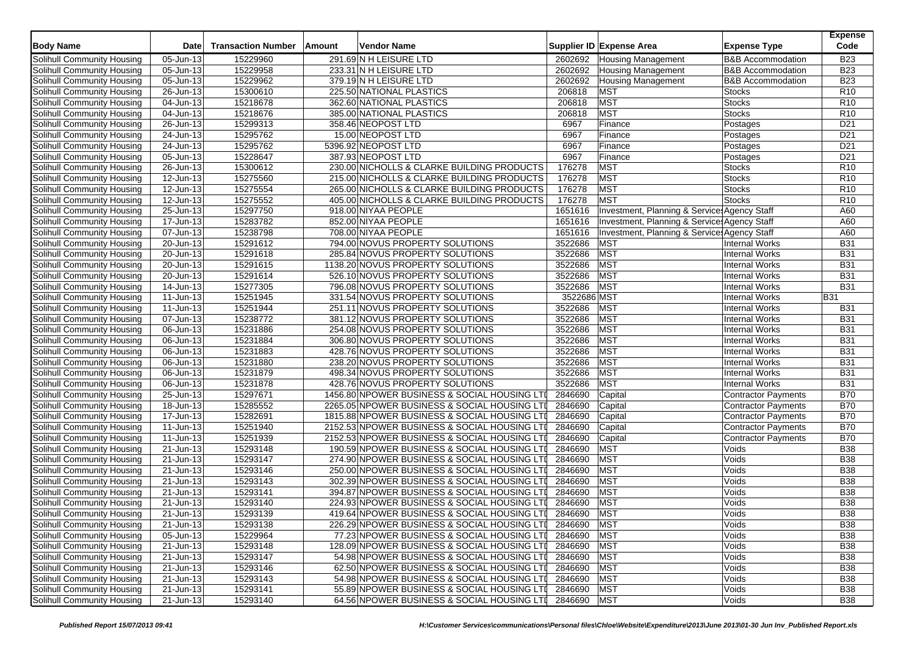| <b>Body Name</b>                  | <b>Date</b>             | <b>Transaction Number</b> | Amount | Vendor Name                                  |             | Supplier ID Expense Area                     | <b>Expense Type</b>          | <b>Expense</b><br>Code |
|-----------------------------------|-------------------------|---------------------------|--------|----------------------------------------------|-------------|----------------------------------------------|------------------------------|------------------------|
| Solihull Community Housing        | 05-Jun-13               | 15229960                  |        | 291.69 N H LEISURE LTD                       | 2602692     | <b>Housing Management</b>                    | <b>B&amp;B Accommodation</b> | <b>B23</b>             |
| Solihull Community Housing        | 05-Jun-13               | 15229958                  |        | 233.31 N H LEISURE LTD                       | 2602692     | <b>Housing Management</b>                    | <b>B&amp;B Accommodation</b> | <b>B23</b>             |
| Solihull Community Housing        | 05-Jun-13               | 15229962                  |        | 379.19 N H LEISURE LTD                       | 2602692     | <b>Housing Management</b>                    | <b>B&amp;B Accommodation</b> | <b>B23</b>             |
| Solihull Community Housing        | 26-Jun-13               | 15300610                  |        | 225.50 NATIONAL PLASTICS                     | 206818      | <b>MST</b>                                   | Stocks                       | R <sub>10</sub>        |
| Solihull Community Housing        | 04-Jun-13               | 15218678                  |        | 362.60 NATIONAL PLASTICS                     | 206818      | <b>MST</b>                                   | <b>Stocks</b>                | R10                    |
| Solihull Community Housing        | 04-Jun-13               | 15218676                  |        | 385.00 NATIONAL PLASTICS                     | 206818      | <b>MST</b>                                   | <b>Stocks</b>                | R <sub>10</sub>        |
| Solihull Community Housing        | 26-Jun-13               | 15299313                  |        | 358.46 NEOPOST LTD                           | 6967        | Finance                                      | Postages                     | D <sub>21</sub>        |
| Solihull Community Housing        | 24-Jun-13               | 15295762                  |        | 15.00 NEOPOST LTD                            | 6967        | Finance                                      | Postages                     | D <sub>21</sub>        |
| Solihull Community Housing        | $\overline{24}$ -Jun-13 | 15295762                  |        | 5396.92 NEOPOST LTD                          | 6967        | Finance                                      | Postages                     | D <sub>21</sub>        |
| Solihull Community Housing        | 05-Jun-13               | 15228647                  |        | 387.93 NEOPOST LTD                           | 6967        | Finance                                      | Postages                     | D <sub>21</sub>        |
| Solihull Community Housing        | 26-Jun-13               | 15300612                  |        | 230.00 NICHOLLS & CLARKE BUILDING PRODUCTS   | 176278      | <b>MST</b>                                   | <b>Stocks</b>                | R <sub>10</sub>        |
| Solihull Community Housing        | 12-Jun-13               | 15275560                  |        | 215.00 NICHOLLS & CLARKE BUILDING PRODUCTS   | 176278      | <b>MST</b>                                   | <b>Stocks</b>                | R <sub>10</sub>        |
| Solihull Community Housing        | $\overline{12}$ -Jun-13 | 15275554                  |        | 265.00 NICHOLLS & CLARKE BUILDING PRODUCTS   | 176278      | <b>MST</b>                                   | Stocks                       | R10                    |
| Solihull Community Housing        | 12-Jun-13               | 15275552                  |        | 405.00 NICHOLLS & CLARKE BUILDING PRODUCTS   | 176278      | <b>MST</b>                                   | <b>Stocks</b>                | R <sub>10</sub>        |
| Solihull Community Housing        | 25-Jun-13               | 15297750                  |        | 918.00 NIYAA PEOPLE                          | 1651616     | Investment, Planning & Services Agency Staff |                              | A60                    |
| Solihull Community Housing        | 17-Jun-13               | 15283782                  |        | 852.00 NIYAA PEOPLE                          | 1651616     | Investment, Planning & Services Agency Staff |                              | A60                    |
| Solihull Community Housing        | 07-Jun-13               | 15238798                  |        | 708.00 NIYAA PEOPLE                          | 1651616     | Investment, Planning & Service: Agency Staff |                              | A60                    |
| Solihull Community Housing        | 20-Jun-13               | 15291612                  |        | 794.00 NOVUS PROPERTY SOLUTIONS              | 3522686     | <b>MST</b>                                   | <b>Internal Works</b>        | <b>B31</b>             |
| Solihull Community Housing        | 20-Jun-13               | 15291618                  |        | 285.84 NOVUS PROPERTY SOLUTIONS              | 3522686     | <b>MST</b>                                   | <b>Internal Works</b>        | <b>B31</b>             |
| Solihull Community Housing        | 20-Jun-13               | 15291615                  |        | 1138.20 NOVUS PROPERTY SOLUTIONS             | 3522686     | <b>MST</b>                                   | <b>Internal Works</b>        | <b>B31</b>             |
| Solihull Community Housing        | 20-Jun-13               | 15291614                  |        | 526.10 NOVUS PROPERTY SOLUTIONS              | 3522686     | MST                                          | <b>Internal Works</b>        | <b>B31</b>             |
| <b>Solihull Community Housing</b> | $14$ -Jun-13            | 15277305                  |        | 796.08 NOVUS PROPERTY SOLUTIONS              | 3522686     | <b>MST</b>                                   | <b>Internal Works</b>        | <b>B31</b>             |
| <b>Solihull Community Housing</b> | 11-Jun-13               | 15251945                  |        | 331.54 NOVUS PROPERTY SOLUTIONS              | 3522686 MST |                                              | <b>Internal Works</b>        | <b>B31</b>             |
| Solihull Community Housing        | $11$ -Jun-13            | 15251944                  |        | 251.11 NOVUS PROPERTY SOLUTIONS              | 3522686     | MST                                          | <b>Internal Works</b>        | <b>B31</b>             |
| Solihull Community Housing        | $\overline{07}$ -Jun-13 | 15238772                  |        | 381.12 NOVUS PROPERTY SOLUTIONS              | 3522686     | <b>MST</b>                                   | Internal Works               | <b>B31</b>             |
| Solihull Community Housing        | 06-Jun-13               | 15231886                  |        | 254.08 NOVUS PROPERTY SOLUTIONS              | 3522686     | <b>MST</b>                                   | <b>Internal Works</b>        | <b>B31</b>             |
| Solihull Community Housing        | 06-Jun-13               | 15231884                  |        | 306.80 NOVUS PROPERTY SOLUTIONS              | 3522686     | <b>MST</b>                                   | Internal Works               | <b>B31</b>             |
| Solihull Community Housing        | $\overline{06}$ -Jun-13 | 15231883                  |        | 428.76 NOVUS PROPERTY SOLUTIONS              | 3522686     | <b>MST</b>                                   | <b>Internal Works</b>        | <b>B31</b>             |
| Solihull Community Housing        | 06-Jun-13               | 15231880                  |        | 238.20 NOVUS PROPERTY SOLUTIONS              | 3522686     | <b>MST</b>                                   | <b>Internal Works</b>        | <b>B31</b>             |
| Solihull Community Housing        | 06-Jun-13               | 15231879                  |        | 498.34 NOVUS PROPERTY SOLUTIONS              | 3522686     | <b>MST</b>                                   | <b>Internal Works</b>        | <b>B31</b>             |
| Solihull Community Housing        | 06-Jun-13               | 15231878                  |        | 428.76 NOVUS PROPERTY SOLUTIONS              | 3522686     | <b>MST</b>                                   | <b>Internal Works</b>        | <b>B31</b>             |
| Solihull Community Housing        | 25-Jun-13               | 15297671                  |        | 1456.80 NPOWER BUSINESS & SOCIAL HOUSING LTI | 2846690     | Capital                                      | Contractor Payments          | <b>B70</b>             |
| Solihull Community Housing        | 18-Jun-13               | 15285552                  |        | 2265.05 NPOWER BUSINESS & SOCIAL HOUSING LTI | 2846690     | Capital                                      | Contractor Payments          | <b>B70</b>             |
| Solihull Community Housing        | 17-Jun-13               | 15282691                  |        | 1815.88 NPOWER BUSINESS & SOCIAL HOUSING LTI | 2846690     | Capital                                      | Contractor Payments          | <b>B70</b>             |
| Solihull Community Housing        | 11-Jun-13               | 15251940                  |        | 2152.53 NPOWER BUSINESS & SOCIAL HOUSING LTI | 2846690     | Capital                                      | Contractor Payments          | <b>B70</b>             |
| <b>Solihull Community Housing</b> | 11-Jun-13               | 15251939                  |        | 2152.53 NPOWER BUSINESS & SOCIAL HOUSING LTI | 2846690     | Capital                                      | Contractor Payments          | <b>B70</b>             |
| Solihull Community Housing        | 21-Jun-13               | 15293148                  |        | 190.59 NPOWER BUSINESS & SOCIAL HOUSING LTI  | 2846690     | <b>MST</b>                                   | Voids                        | <b>B38</b>             |
| Solihull Community Housing        | 21-Jun-13               | 15293147                  |        | 274.90 NPOWER BUSINESS & SOCIAL HOUSING LTI  | 2846690     | MST                                          | Voids                        | <b>B38</b>             |
| Solihull Community Housing        | 21-Jun-13               | 15293146                  |        | 250.00 NPOWER BUSINESS & SOCIAL HOUSING LTI  | 2846690     | <b>MST</b>                                   | Voids                        | <b>B38</b>             |
| Solihull Community Housing        | 21-Jun-13               | 15293143                  |        | 302.39 NPOWER BUSINESS & SOCIAL HOUSING LTI  | 2846690     | MST                                          | Voids                        | <b>B38</b>             |
| Solihull Community Housing        | 21-Jun-13               | 15293141                  |        | 394.87 NPOWER BUSINESS & SOCIAL HOUSING LTI  | 2846690     | MST                                          | Voids                        | <b>B38</b>             |
| Solihull Community Housing        | 21-Jun-13               | 15293140                  |        | 224.93 NPOWER BUSINESS & SOCIAL HOUSING LTI  | 2846690     | <b>MST</b>                                   | Voids                        | <b>B38</b>             |
| Solihull Community Housing        | 21-Jun-13               | 15293139                  |        | 419.64 NPOWER BUSINESS & SOCIAL HOUSING LTI  | 2846690     | MST                                          | Voids                        | <b>B38</b>             |
| Solihull Community Housing        | 21-Jun-13               | 15293138                  |        | 226.29 NPOWER BUSINESS & SOCIAL HOUSING LTI  | 2846690     | <b>MST</b>                                   | Voids                        | <b>B38</b>             |
| Solihull Community Housing        | 05-Jun-13               | 15229964                  |        | 77.23 NPOWER BUSINESS & SOCIAL HOUSING LTI   | 2846690     | <b>MST</b>                                   | Voids                        | <b>B38</b>             |
| Solihull Community Housing        | 21-Jun-13               | 15293148                  |        | 128.09 NPOWER BUSINESS & SOCIAL HOUSING LTI  | 2846690     | <b>MST</b>                                   | Voids                        | <b>B38</b>             |
| Solihull Community Housing        | 21-Jun-13               | 15293147                  |        | 54.98 NPOWER BUSINESS & SOCIAL HOUSING LTI   | 2846690     | <b>MST</b>                                   | Voids                        | <b>B38</b>             |
| Solihull Community Housing        | 21-Jun-13               | 15293146                  |        | 62.50 NPOWER BUSINESS & SOCIAL HOUSING LTI   | 2846690     | <b>MST</b>                                   | Voids                        | <b>B38</b>             |
| Solihull Community Housing        | 21-Jun-13               | 15293143                  |        | 54.98 NPOWER BUSINESS & SOCIAL HOUSING LTI   | 2846690     | <b>MST</b>                                   | Voids                        | <b>B38</b>             |
| Solihull Community Housing        | 21-Jun-13               | 15293141                  |        | 55.89 NPOWER BUSINESS & SOCIAL HOUSING LTI   | 2846690     | <b>MST</b>                                   | Voids                        | <b>B38</b>             |
| Solihull Community Housing        | 21-Jun-13               | 15293140                  |        | 64.56 NPOWER BUSINESS & SOCIAL HOUSING LTI   | 2846690 MST |                                              | Voids                        | <b>B38</b>             |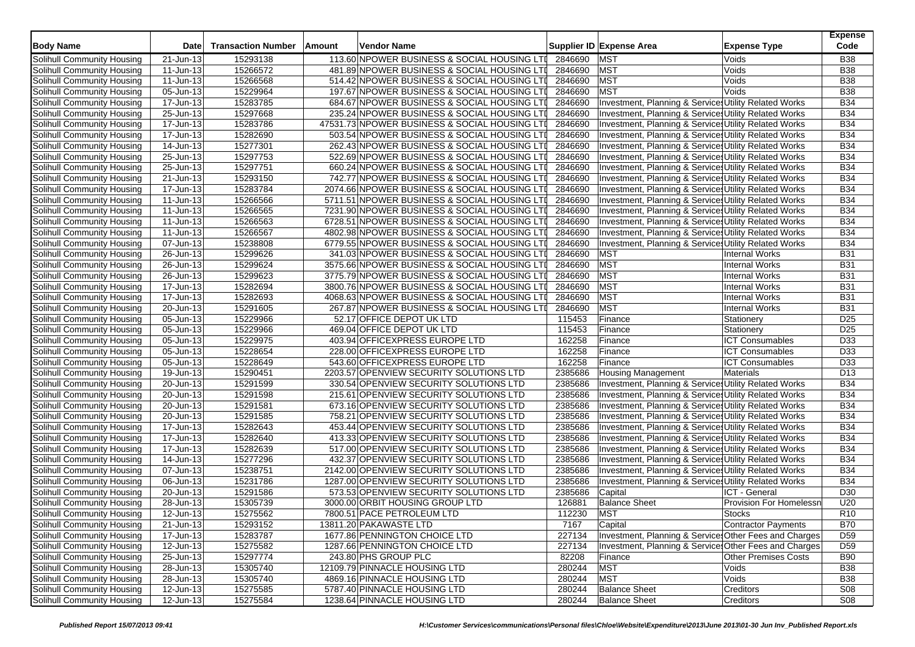| <b>Body Name</b>           | <b>Date</b>             | <b>Transaction Number</b> | Amount | Vendor Name                                   |         | Supplier ID Expense Area                                         | <b>Expense Type</b>         | <b>Expense</b><br>Code |
|----------------------------|-------------------------|---------------------------|--------|-----------------------------------------------|---------|------------------------------------------------------------------|-----------------------------|------------------------|
| Solihull Community Housing | $\overline{21}$ -Jun-13 | 15293138                  |        | 113.60 NPOWER BUSINESS & SOCIAL HOUSING LTI   | 2846690 | MST                                                              | Voids                       | <b>B38</b>             |
| Solihull Community Housing | 11-Jun-13               | 15266572                  |        | 481.89 NPOWER BUSINESS & SOCIAL HOUSING LTI   | 2846690 | MST                                                              | Voids                       | <b>B38</b>             |
| Solihull Community Housing | 11-Jun-13               | 15266568                  |        | 514.42 NPOWER BUSINESS & SOCIAL HOUSING LTI   | 2846690 | <b>MST</b>                                                       | Voids                       | <b>B38</b>             |
| Solihull Community Housing | 05-Jun-13               | 15229964                  |        | 197.67 NPOWER BUSINESS & SOCIAL HOUSING LTI   | 2846690 | <b>MST</b>                                                       | Voids                       | <b>B</b> 38            |
| Solihull Community Housing | 17-Jun-13               | 15283785                  |        | 684.67 NPOWER BUSINESS & SOCIAL HOUSING LTI   | 2846690 | Investment, Planning & Services Utility Related Works            |                             | <b>B34</b>             |
| Solihull Community Housing | 25-Jun-13               | 15297668                  |        | 235.24 NPOWER BUSINESS & SOCIAL HOUSING LTI   | 2846690 | Investment, Planning & Services Utility Related Works            |                             | <b>B34</b>             |
| Solihull Community Housing | 17-Jun-13               | 15283786                  |        | 47531.73 NPOWER BUSINESS & SOCIAL HOUSING LTI | 2846690 | Investment, Planning & Services Utility Related Works            |                             | <b>B34</b>             |
| Solihull Community Housing | 17-Jun-13               | 15282690                  |        | 503.54 NPOWER BUSINESS & SOCIAL HOUSING LTI   | 2846690 | Investment, Planning & Services Utility Related Works            |                             | <b>B34</b>             |
| Solihull Community Housing | 14-Jun-13               | 15277301                  |        | 262.43 NPOWER BUSINESS & SOCIAL HOUSING LTI   | 2846690 | Investment, Planning & Services Utility Related Works            |                             | <b>B34</b>             |
| Solihull Community Housing | 25-Jun-13               | 15297753                  |        | 522.69 NPOWER BUSINESS & SOCIAL HOUSING LTI   | 2846690 | Investment, Planning & Services Utility Related Works            |                             | <b>B34</b>             |
| Solihull Community Housing | 25-Jun-13               | 15297751                  |        | 660.24 NPOWER BUSINESS & SOCIAL HOUSING LTI   | 2846690 | Investment, Planning & Services Utility Related Works            |                             | <b>B34</b>             |
| Solihull Community Housing | $\overline{21}$ -Jun-13 | 15293150                  |        | 742.77 NPOWER BUSINESS & SOCIAL HOUSING LTI   | 2846690 | Investment, Planning & Services Utility Related Works            |                             | <b>B34</b>             |
| Solihull Community Housing | $\overline{17}$ -Jun-13 | 15283784                  |        | 2074.66 NPOWER BUSINESS & SOCIAL HOUSING LTI  | 2846690 | Investment, Planning & Services Utility Related Works            |                             | <b>B34</b>             |
| Solihull Community Housing | 11-Jun-13               | 15266566                  |        | 5711.51 NPOWER BUSINESS & SOCIAL HOUSING LTI  | 2846690 | Investment, Planning & Services Utility Related Works            |                             | <b>B34</b>             |
| Solihull Community Housing | 11-Jun-13               | 15266565                  |        | 7231.90 NPOWER BUSINESS & SOCIAL HOUSING LTI  | 2846690 | Investment, Planning & Services Utility Related Works            |                             | <b>B34</b>             |
| Solihull Community Housing | 11-Jun-13               | 15266563                  |        | 6728.51 NPOWER BUSINESS & SOCIAL HOUSING LTI  | 2846690 | Investment, Planning & Services Utility Related Works            |                             | <b>B34</b>             |
| Solihull Community Housing | 11-Jun-13               | 15266567                  |        | 4802.98 NPOWER BUSINESS & SOCIAL HOUSING LTI  | 2846690 | Investment, Planning & Services Utility Related Works            |                             | <b>B34</b>             |
| Solihull Community Housing | $\overline{07}$ -Jun-13 | 15238808                  |        | 6779.55 NPOWER BUSINESS & SOCIAL HOUSING LTI  | 2846690 | Investment, Planning & Services Utility Related Works            |                             | <b>B34</b>             |
| Solihull Community Housing | 26-Jun-13               | 15299626                  |        | 341.03 NPOWER BUSINESS & SOCIAL HOUSING LTI   | 2846690 | <b>MST</b>                                                       | <b>Internal Works</b>       | <b>B31</b>             |
| Solihull Community Housing | 26-Jun-13               | 15299624                  |        | 3575.66 NPOWER BUSINESS & SOCIAL HOUSING LTI  | 2846690 | <b>MST</b>                                                       | Internal Works              | <b>B31</b>             |
| Solihull Community Housing | 26-Jun-13               | 15299623                  |        | 3775.79 NPOWER BUSINESS & SOCIAL HOUSING LTI  | 2846690 | <b>MST</b>                                                       | <b>Internal Works</b>       | <b>B31</b>             |
| Solihull Community Housing | 17-Jun-13               | 15282694                  |        | 3800.76 NPOWER BUSINESS & SOCIAL HOUSING LTI  | 2846690 | <b>MST</b>                                                       | <b>Internal Works</b>       | <b>B31</b>             |
| Solihull Community Housing | 17-Jun-13               | 15282693                  |        | 4068.63 NPOWER BUSINESS & SOCIAL HOUSING LTI  | 2846690 | <b>MST</b>                                                       | <b>Internal Works</b>       | <b>B31</b>             |
| Solihull Community Housing | 20-Jun-13               | 15291605                  |        | 267.87 NPOWER BUSINESS & SOCIAL HOUSING LTD   | 2846690 | <b>MST</b>                                                       | <b>Internal Works</b>       | <b>B31</b>             |
| Solihull Community Housing | 05-Jun-13               | 15229966                  |        | 52.17 OFFICE DEPOT UK LTD                     | 115453  | Finance                                                          | Stationery                  | D <sub>25</sub>        |
| Solihull Community Housing | 05-Jun-13               | 15229966                  |        | 469.04 OFFICE DEPOT UK LTD                    | 115453  | Finance                                                          | Stationery                  | D <sub>25</sub>        |
| Solihull Community Housing | 05-Jun-13               | 15229975                  |        | 403.94 OFFICEXPRESS EUROPE LTD                | 162258  | Finance                                                          | <b>ICT Consumables</b>      | D33                    |
| Solihull Community Housing | 05-Jun-13               | 15228654                  |        | 228.00 OFFICEXPRESS EUROPE LTD                | 162258  | Finance                                                          | <b>ICT Consumables</b>      | D33                    |
| Solihull Community Housing | 05-Jun-13               | 15228649                  |        | 543.60 OFFICEXPRESS EUROPE LTD                | 162258  | Finance                                                          | <b>ICT Consumables</b>      | D33                    |
| Solihull Community Housing | 19-Jun-13               | 15290451                  |        | 2203.57 OPENVIEW SECURITY SOLUTIONS LTD       | 2385686 | <b>Housing Management</b>                                        | <b>Materials</b>            | D <sub>13</sub>        |
| Solihull Community Housing | 20-Jun-13               | 15291599                  |        | 330.54 OPENVIEW SECURITY SOLUTIONS LTD        | 2385686 | Investment, Planning & Services Utility Related Works            |                             | <b>B34</b>             |
| Solihull Community Housing | 20-Jun-13               | 15291598                  |        | 215.61 OPENVIEW SECURITY SOLUTIONS LTD        | 2385686 | Investment, Planning & Services Utility Related Works            |                             | <b>B34</b>             |
| Solihull Community Housing | 20-Jun-13               | 15291581                  |        | 673.16 OPENVIEW SECURITY SOLUTIONS LTD        | 2385686 | Investment, Planning & Services Utility Related Works            |                             | <b>B34</b>             |
| Solihull Community Housing | 20-Jun-13               | 15291585                  |        | 758.21 OPENVIEW SECURITY SOLUTIONS LTD        | 2385686 | Investment, Planning & Service, Utility Related Works            |                             | <b>B34</b>             |
| Solihull Community Housing | 17-Jun-13               | 15282643                  |        | 453.44 OPENVIEW SECURITY SOLUTIONS LTD        | 2385686 | Investment, Planning & Services Utility Related Works            |                             | <b>B34</b>             |
| Solihull Community Housing | 17-Jun-13               | 15282640                  |        | 413.33 OPENVIEW SECURITY SOLUTIONS LTD        | 2385686 | Investment, Planning & Services Utility Related Works            |                             | <b>B34</b>             |
| Solihull Community Housing | 17-Jun-13               | 15282639                  |        | 517.00 OPENVIEW SECURITY SOLUTIONS LTD        | 2385686 | <b>Investment, Planning &amp; Services Utility Related Works</b> |                             | <b>B34</b>             |
| Solihull Community Housing | 14-Jun-13               | 15277296                  |        | 432.37 OPENVIEW SECURITY SOLUTIONS LTD        | 2385686 | Investment, Planning & Services Utility Related Works            |                             | <b>B34</b>             |
| Solihull Community Housing | 07-Jun-13               | 15238751                  |        | 2142.00 OPENVIEW SECURITY SOLUTIONS LTD       | 2385686 | Investment, Planning & Services Utility Related Works            |                             | <b>B34</b>             |
| Solihull Community Housing | 06-Jun-13               | 15231786                  |        | 1287.00 OPENVIEW SECURITY SOLUTIONS LTD       | 2385686 | Investment, Planning & Services Utility Related Works            |                             | <b>B34</b>             |
| Solihull Community Housing | 20-Jun-13               | 15291586                  |        | 573.53 OPENVIEW SECURITY SOLUTIONS LTD        | 2385686 | Capital                                                          | ICT - General               | D30                    |
| Solihull Community Housing | 28-Jun-13               | 15305739                  |        | 3000.00 ORBIT HOUSING GROUP LTD               | 126881  | <b>Balance Sheet</b>                                             | Provision For Homelessr     | U20                    |
| Solihull Community Housing | 12-Jun-13               | 15275562                  |        | 7800.51 PACE PETROLEUM LTD                    | 112230  | <b>MST</b>                                                       | <b>Stocks</b>               | R <sub>10</sub>        |
| Solihull Community Housing | 21-Jun-13               | 15293152                  |        | 13811.20 PAKAWASTE LTD                        | 7167    | Capital                                                          | Contractor Payments         | <b>B70</b>             |
| Solihull Community Housing | 17-Jun-13               | 15283787                  |        | 1677.86 PENNINGTON CHOICE LTD                 | 227134  | Investment, Planning & Services Other Fees and Charges           |                             | D <sub>59</sub>        |
| Solihull Community Housing | 12-Jun-13               | 15275582                  |        | 1287.66 PENNINGTON CHOICE LTD                 | 227134  | Investment, Planning & Services Other Fees and Charges           |                             | D <sub>59</sub>        |
| Solihull Community Housing | 25-Jun-13               | 15297774                  |        | 243.80 PHS GROUP PLC                          | 82208   | Finance                                                          | <b>Other Premises Costs</b> | <b>B90</b>             |
| Solihull Community Housing | 28-Jun-13               | 15305740                  |        | 12109.79 PINNACLE HOUSING LTD                 | 280244  | <b>MST</b>                                                       | Voids                       | <b>B38</b>             |
| Solihull Community Housing | 28-Jun-13               | 15305740                  |        | 4869.16 PINNACLE HOUSING LTD                  | 280244  | <b>MST</b>                                                       | Voids                       | <b>B38</b>             |
| Solihull Community Housing | 12-Jun-13               | 15275585                  |        | 5787.40 PINNACLE HOUSING LTD                  | 280244  | <b>Balance Sheet</b>                                             | Creditors                   | S <sub>08</sub>        |
| Solihull Community Housing | 12-Jun-13               | 15275584                  |        | 1238.64 PINNACLE HOUSING LTD                  | 280244  | <b>Balance Sheet</b>                                             | Creditors                   | S08                    |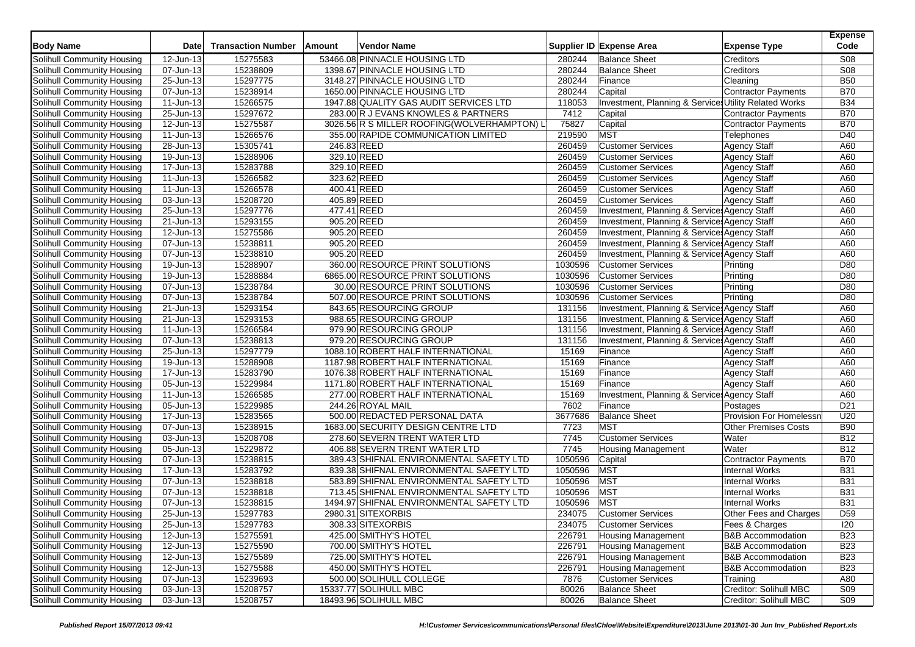| <b>Body Name</b>                                         | <b>Date</b>             | <b>Transaction Number</b> | Amount | Vendor Name                                 |                    | Supplier ID Expense Area                              | <b>Expense Type</b>                  | <b>Expense</b><br>Code   |
|----------------------------------------------------------|-------------------------|---------------------------|--------|---------------------------------------------|--------------------|-------------------------------------------------------|--------------------------------------|--------------------------|
| Solihull Community Housing                               | 12-Jun-13               | 15275583                  |        | 53466.08 PINNACLE HOUSING LTD               | 280244             | <b>Balance Sheet</b>                                  | Creditors                            | S08                      |
| Solihull Community Housing                               | 07-Jun-13               | 15238809                  |        | 1398.67 PINNACLE HOUSING LTD                | 280244             | <b>Balance Sheet</b>                                  | Creditors                            | <b>S08</b>               |
| Solihull Community Housing                               | 25-Jun-13               | 15297775                  |        | 3148.27 PINNACLE HOUSING LTD                | 280244             | Finance                                               | Cleaning                             | <b>B50</b>               |
| Solihull Community Housing                               | 07-Jun-13               | 15238914                  |        | 1650.00 PINNACLE HOUSING LTD                | 280244             | Capital                                               | Contractor Payments                  | <b>B70</b>               |
| Solihull Community Housing                               | 11-Jun-13               | 15266575                  |        | 1947.88 QUALITY GAS AUDIT SERVICES LTD      | 118053             | Investment, Planning & Services Utility Related Works |                                      | <b>B34</b>               |
| Solihull Community Housing                               | 25-Jun-13               | 15297672                  |        | 283.00 R J EVANS KNOWLES & PARTNERS         | 7412               | Capital                                               | Contractor Payments                  | <b>B70</b>               |
| Solihull Community Housing                               | 12-Jun-13               | 15275587                  |        | 3026.56 R S MILLER ROOFING(WOLVERHAMPTON) L | 75827              | Capital                                               | Contractor Payments                  | <b>B70</b>               |
| Solihull Community Housing                               | 11-Jun-13               | 15266576                  |        | 355.00 RAPIDE COMMUNICATION LIMITED         | 219590             | <b>MST</b>                                            | Telephones                           | D40                      |
| Solihull Community Housing                               | $28$ -Jun-13            | 15305741                  |        | 246.83 REED                                 | 260459             | <b>Customer Services</b>                              | <b>Agency Staff</b>                  | A60                      |
| Solihull Community Housing                               | 19-Jun-13               | 15288906                  |        | 329.10 REED                                 | 260459             | <b>Customer Services</b>                              | <b>Agency Staff</b>                  | A60                      |
| Solihull Community Housing                               | 17-Jun-13               | 15283788                  |        | 329.10 REED                                 | 260459             | <b>Customer Services</b>                              | Agency Staff                         | A60                      |
| Solihull Community Housing                               | $11$ -Jun-13            | 15266582                  |        | 323.62 REED                                 | 260459             | <b>Customer Services</b>                              | Agency Staff                         | A60                      |
| Solihull Community Housing                               | $11$ -Jun-13            | 15266578                  |        | 400.41 REED                                 | 260459             | <b>Customer Services</b>                              | Agency Staff                         | A60                      |
| Solihull Community Housing                               | 03-Jun-13               | 15208720                  |        | 405.89 REED                                 | 260459             | <b>Customer Services</b>                              | <b>Agency Staff</b>                  | A60                      |
| Solihull Community Housing                               | 25-Jun-13               | 15297776                  |        | 477.41 REED                                 | 260459             | Investment, Planning & Services Agency Staff          |                                      | A60                      |
| Solihull Community Housing                               | $\overline{21}$ -Jun-13 | 15293155                  |        | 905.20 REED                                 | 260459             | Investment, Planning & Services Agency Staff          |                                      | A60                      |
| Solihull Community Housing                               | 12-Jun-13               | 15275586                  |        | 905.20 REED                                 | 260459             | Investment, Planning & Services Agency Staff          |                                      | A60                      |
| Solihull Community Housing                               | 07-Jun-13               | 15238811                  |        | 905.20 REED                                 | 260459             | Investment, Planning & Service, Agency Staff          |                                      | A60                      |
| Solihull Community Housing                               | 07-Jun-13               | 15238810                  |        | 905.20 REED                                 | 260459             | Investment, Planning & Services Agency Staff          |                                      | A60                      |
| Solihull Community Housing                               | 19-Jun-13               | 15288907                  |        | 360.00 RESOURCE PRINT SOLUTIONS             | 1030596            | Customer Services                                     | Printing                             | D80                      |
| Solihull Community Housing                               | 19-Jun-13               | 15288884                  |        | 6865.00 RESOURCE PRINT SOLUTIONS            | 1030596            | <b>Customer Services</b>                              | Printing                             | D80                      |
| Solihull Community Housing                               | 07-Jun-13               | 15238784                  |        | 30.00 RESOURCE PRINT SOLUTIONS              | 1030596            | <b>Customer Services</b>                              | Printing                             | D80                      |
| <b>Solihull Community Housing</b>                        | 07-Jun-13               | 15238784                  |        | 507.00 RESOURCE PRINT SOLUTIONS             | 1030596            | <b>Customer Services</b>                              | Printing                             | D80                      |
| Solihull Community Housing                               | $21$ -Jun-13            | 15293154                  |        | 843.65 RESOURCING GROUP                     | 131156             | Investment, Planning & Services Agency Staff          |                                      | A60                      |
| Solihull Community Housing                               | $\overline{21}$ -Jun-13 | 15293153                  |        | 988.65 RESOURCING GROUP                     | 131156             | Investment, Planning & Services Agency Staff          |                                      | A60                      |
| Solihull Community Housing                               | 11-Jun-13               | 15266584                  |        | 979.90 RESOURCING GROUP                     | 131156             | Investment, Planning & Services Agency Staff          |                                      | A60                      |
| Solihull Community Housing                               | 07-Jun-13               | 15238813                  |        | 979.20 RESOURCING GROUP                     | 131156             | Investment, Planning & Service, Agency Staff          |                                      | A60                      |
| Solihull Community Housing                               | $\overline{25}$ -Jun-13 | 15297779                  |        | 1088.10 ROBERT HALF INTERNATIONAL           | 15169              | Finance                                               | <b>Agency Staff</b>                  | A60                      |
| Solihull Community Housing                               | 19-Jun-13               | 15288908                  |        | 1187.98 ROBERT HALF INTERNATIONAL           | 15169              | Finance                                               | <b>Agency Staff</b>                  | A60                      |
| Solihull Community Housing                               | 17-Jun-13               | 15283790                  |        | 1076.38 ROBERT HALF INTERNATIONAL           | 15169              | Finance                                               | <b>Agency Staff</b>                  | A60                      |
| Solihull Community Housing                               | 05-Jun-13               | 15229984                  |        | 1171.80 ROBERT HALF INTERNATIONAL           | 15169              | Finance                                               | <b>Agency Staff</b>                  | A60                      |
| Solihull Community Housing                               | 11-Jun-13               | 15266585                  |        | 277.00 ROBERT HALF INTERNATIONAL            | 15169              | Investment, Planning & Service: Agency Staff          |                                      | A60                      |
| Solihull Community Housing                               | 05-Jun-13               | 15229985                  |        | 244.26 ROYAL MAIL                           | 7602               | Finance                                               | Postages                             | D <sub>21</sub>          |
|                                                          |                         | 15283565                  |        | 500.00 REDACTED PERSONAL DATA               | 3677686            | <b>Balance Sheet</b>                                  | Provision For Homelessn              | U20                      |
| Solihull Community Housing<br>Solihull Community Housing | 17-Jun-13               |                           |        |                                             | 7723               | <b>MST</b>                                            |                                      |                          |
| Solihull Community Housing                               | 07-Jun-13               | 15238915<br>15208708      |        | 1683.00 SECURITY DESIGN CENTRE LTD          | 7745               |                                                       | <b>Other Premises Costs</b><br>Water | <b>B90</b><br><b>B12</b> |
|                                                          | 03-Jun-13               |                           |        | 278.60 SEVERN TRENT WATER LTD               |                    | <b>Customer Services</b>                              |                                      |                          |
| Solihull Community Housing                               | 05-Jun-13               | 15229872                  |        | 406.88 SEVERN TRENT WATER LTD               | 7745               | <b>Housing Management</b>                             | Water                                | <b>B12</b>               |
| Solihull Community Housing                               | 07-Jun-13               | 15238815<br>15283792      |        | 389.43 SHIFNAL ENVIRONMENTAL SAFETY LTD     | 1050596<br>1050596 | Capital<br><b>MST</b>                                 | Contractor Payments                  | <b>B70</b><br><b>B31</b> |
| Solihull Community Housing                               | 17-Jun-13               |                           |        | 839.38 SHIFNAL ENVIRONMENTAL SAFETY LTD     |                    |                                                       | Internal Works                       |                          |
| Solihull Community Housing                               | 07-Jun-13               | 15238818<br>15238818      |        | 583.89 SHIFNAL ENVIRONMENTAL SAFETY LTD     | 1050596            | <b>MST</b>                                            | <b>Internal Works</b>                | <b>B31</b>               |
| Solihull Community Housing                               | 07-Jun-13               |                           |        | 713.45 SHIFNAL ENVIRONMENTAL SAFETY LTD     | 1050596            | <b>MST</b>                                            | <b>Internal Works</b>                | <b>B31</b>               |
| Solihull Community Housing                               | 07-Jun-13               | 15238815                  |        | 1494.97 SHIFNAL ENVIRONMENTAL SAFETY LTD    | 1050596            | <b>MST</b>                                            | <b>Internal Works</b>                | <b>B31</b>               |
| Solihull Community Housing                               | 25-Jun-13               | 15297783                  |        | 2980.31 SITEXORBIS                          | 234075             | <b>Customer Services</b>                              | Other Fees and Charges               | D <sub>59</sub>          |
| Solihull Community Housing                               | 25-Jun-13               | 15297783                  |        | 308.33 SITEXORBIS                           | 234075             | <b>Customer Services</b>                              | Fees & Charges                       | 120                      |
| Solihull Community Housing                               | 12-Jun-13               | 15275591                  |        | 425.00 SMITHY'S HOTEL                       | 226791             | <b>Housing Management</b>                             | <b>B&amp;B</b> Accommodation         | <b>B23</b>               |
| Solihull Community Housing                               | 12-Jun-13               | 15275590                  |        | 700.00 SMITHY'S HOTEL                       | 226791             | <b>Housing Management</b>                             | <b>B&amp;B Accommodation</b>         | <b>B23</b>               |
| Solihull Community Housing                               | 12-Jun-13               | 15275589                  |        | 725.00 SMITHY'S HOTEL                       | 226791             | <b>Housing Management</b>                             | <b>B&amp;B Accommodation</b>         | <b>B23</b>               |
| Solihull Community Housing                               | 12-Jun-13               | 15275588                  |        | 450.00 SMITHY'S HOTEL                       | 226791             | <b>Housing Management</b>                             | <b>B&amp;B Accommodation</b>         | <b>B23</b>               |
| Solihull Community Housing                               | 07-Jun-13               | 15239693                  |        | 500.00 SOLIHULL COLLEGE                     | 7876               | <b>Customer Services</b>                              | Training                             | A80                      |
| <b>Solihull Community Housing</b>                        | 03-Jun-13               | 15208757                  |        | 15337.77 SOLIHULL MBC                       | 80026              | <b>Balance Sheet</b>                                  | Creditor: Solihull MBC               | S09                      |
| Solihull Community Housing                               | 03-Jun-13               | 15208757                  |        | 18493.96 SOLIHULL MBC                       | 80026              | <b>Balance Sheet</b>                                  | Creditor: Solihull MBC               | S09                      |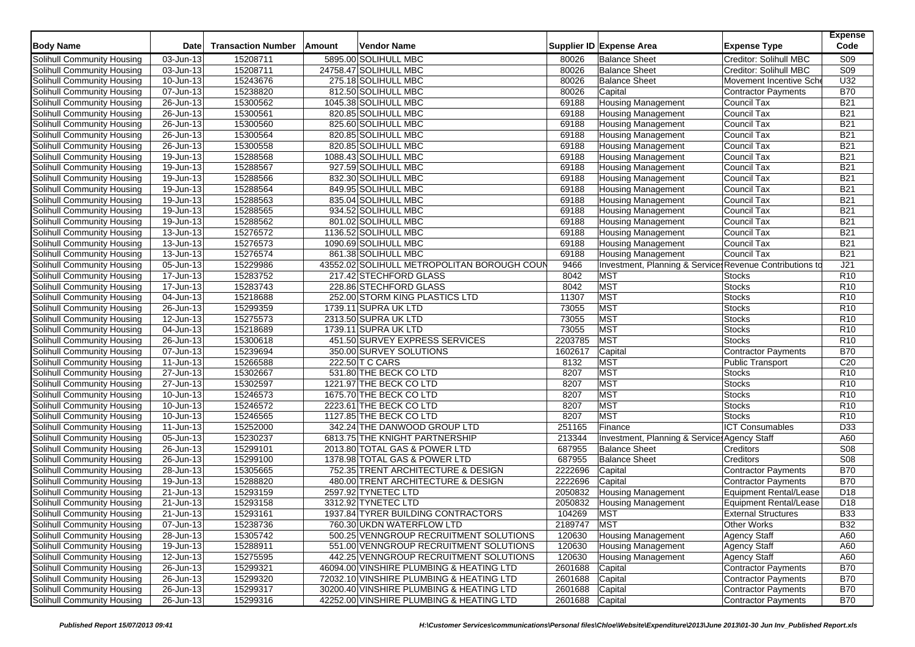| <b>Body Name</b>           | <b>Date</b>             | <b>Transaction Number</b> | Amount | Vendor Name                                 |         | Supplier ID Expense Area                                | <b>Expense Type</b>        | <b>Expense</b><br>Code |
|----------------------------|-------------------------|---------------------------|--------|---------------------------------------------|---------|---------------------------------------------------------|----------------------------|------------------------|
| Solihull Community Housing | 03-Jun-13               | 15208711                  |        | 5895.00 SOLIHULL MBC                        | 80026   | <b>Balance Sheet</b>                                    | Creditor: Solihull MBC     | S09                    |
| Solihull Community Housing | 03-Jun-13               | 15208711                  |        | 24758.47 SOLIHULL MBC                       | 80026   | <b>Balance Sheet</b>                                    | Creditor: Solihull MBC     | <b>S09</b>             |
| Solihull Community Housing | 10-Jun-13               | 15243676                  |        | 275.18 SOLIHULL MBC                         | 80026   | <b>Balance Sheet</b>                                    | Movement Incentive Sche    | U32                    |
| Solihull Community Housing | 07-Jun-13               | 15238820                  |        | 812.50 SOLIHULL MBC                         | 80026   | Capital                                                 | Contractor Payments        | <b>B70</b>             |
| Solihull Community Housing | 26-Jun-13               | 15300562                  |        | 1045.38 SOLIHULL MBC                        | 69188   | <b>Housing Management</b>                               | Council Tax                | <b>B21</b>             |
| Solihull Community Housing | 26-Jun-13               | 15300561                  |        | 820.85 SOLIHULL MBC                         | 69188   | <b>Housing Management</b>                               | Council Tax                | <b>B21</b>             |
| Solihull Community Housing | 26-Jun-13               | 15300560                  |        | 825.60 SOLIHULL MBC                         | 69188   | <b>Housing Management</b>                               | Council Tax                | <b>B21</b>             |
| Solihull Community Housing | 26-Jun-13               | 15300564                  |        | 820.85 SOLIHULL MBC                         | 69188   | <b>Housing Management</b>                               | Council Tax                | <b>B21</b>             |
| Solihull Community Housing | 26-Jun-13               | 15300558                  |        | 820.85 SOLIHULL MBC                         | 69188   | <b>Housing Management</b>                               | Council Tax                | <b>B21</b>             |
| Solihull Community Housing | 19-Jun-13               | 15288568                  |        | 1088.43 SOLIHULL MBC                        | 69188   | <b>Housing Management</b>                               | Council Tax                | <b>B21</b>             |
| Solihull Community Housing | 19-Jun-13               | 15288567                  |        | 927.59 SOLIHULL MBC                         | 69188   | <b>Housing Management</b>                               | Council Tax                | <b>B21</b>             |
| Solihull Community Housing | 19-Jun-13               | 15288566                  |        | 832.30 SOLIHULL MBC                         | 69188   | <b>Housing Management</b>                               | Council Tax                | <b>B21</b>             |
| Solihull Community Housing | $19 - Jun-13$           | 15288564                  |        | 849.95 SOLIHULL MBC                         | 69188   | <b>Housing Management</b>                               | Council Tax                | <b>B21</b>             |
| Solihull Community Housing | 19-Jun-13               | 15288563                  |        | 835.04 SOLIHULL MBC                         | 69188   | <b>Housing Management</b>                               | Council Tax                | <b>B21</b>             |
| Solihull Community Housing | 19-Jun-13               | 15288565                  |        | 934.52 SOLIHULL MBC                         | 69188   | <b>Housing Management</b>                               | Council Tax                | <b>B21</b>             |
| Solihull Community Housing | 19-Jun-13               | 15288562                  |        | 801.02 SOLIHULL MBC                         | 69188   | <b>Housing Management</b>                               | Council Tax                | <b>B21</b>             |
| Solihull Community Housing | 13-Jun-13               | 15276572                  |        | 1136.52 SOLIHULL MBC                        | 69188   | <b>Housing Management</b>                               | Council Tax                | <b>B21</b>             |
| Solihull Community Housing | 13-Jun-13               | 15276573                  |        | 1090.69 SOLIHULL MBC                        | 69188   | <b>Housing Management</b>                               | Council Tax                | <b>B21</b>             |
| Solihull Community Housing | 13-Jun-13               | 15276574                  |        | 861.38 SOLIHULL MBC                         | 69188   | <b>Housing Management</b>                               | Council Tax                | <b>B21</b>             |
| Solihull Community Housing | 05-Jun-13               | 15229986                  |        | 43552.02 SOLIHULL METROPOLITAN BOROUGH COUN | 9466    | Investment, Planning & Service Revenue Contributions to |                            | J21                    |
| Solihull Community Housing | 17-Jun-13               |                           |        | 217.42 STECHFORD GLASS                      | 8042    | <b>MST</b>                                              | <b>Stocks</b>              | R <sub>10</sub>        |
|                            |                         | 15283752                  |        |                                             | 8042    | <b>MST</b>                                              |                            |                        |
| Solihull Community Housing | 17-Jun-13               | 15283743                  |        | 228.86 STECHFORD GLASS                      |         |                                                         | <b>Stocks</b>              | R <sub>10</sub>        |
| Solihull Community Housing | 04-Jun-13               | 15218688                  |        | 252.00 STORM KING PLASTICS LTD              | 11307   | <b>MST</b>                                              | <b>Stocks</b>              | R <sub>10</sub>        |
| Solihull Community Housing | $26$ -Jun-13            | 15299359                  |        | 1739.11 SUPRA UK LTD                        | 73055   | MST                                                     | <b>Stocks</b>              | R <sub>10</sub>        |
| Solihull Community Housing | $\overline{12}$ -Jun-13 | 15275573                  |        | 2313.50 SUPRA UK LTD                        | 73055   | <b>MST</b>                                              | <b>Stocks</b>              | R10                    |
| Solihull Community Housing | 04-Jun-13               | 15218689                  |        | 1739.11 SUPRA UK LTD                        | 73055   | <b>MST</b>                                              | Stocks                     | R <sub>10</sub>        |
| Solihull Community Housing | $\overline{26}$ -Jun-13 | 15300618                  |        | 451.50 SURVEY EXPRESS SERVICES              | 2203785 | <b>MST</b>                                              | <b>Stocks</b>              | R <sub>10</sub>        |
| Solihull Community Housing | 07-Jun-13               | 15239694                  |        | 350.00 SURVEY SOLUTIONS                     | 1602617 | Capital                                                 | <b>Contractor Payments</b> | <b>B70</b>             |
| Solihull Community Housing | 11-Jun-13               | 15266588                  |        | 222.50 T C CARS                             | 8132    | <b>MST</b>                                              | <b>Public Transport</b>    | C <sub>20</sub>        |
| Solihull Community Housing | 27-Jun-13               | 15302667                  |        | 531.80 THE BECK CO LTD                      | 8207    | MST                                                     | <b>Stocks</b>              | R <sub>10</sub>        |
| Solihull Community Housing | $\overline{27}$ -Jun-13 | 15302597                  |        | 1221.97 THE BECK CO LTD                     | 8207    | <b>MST</b>                                              | <b>Stocks</b>              | R10                    |
| Solihull Community Housing | 10-Jun-13               | 15246573                  |        | 1675.70 THE BECK CO LTD                     | 8207    | MST                                                     | Stocks                     | R <sub>10</sub>        |
| Solihull Community Housing | 10-Jun-13               | 15246572                  |        | 2223.61 THE BECK CO LTD                     | 8207    | MST                                                     | <b>Stocks</b>              | R <sub>10</sub>        |
| Solihull Community Housing | 10-Jun-13               | 15246565                  |        | 1127.85 THE BECK COLTD                      | 8207    | <b>MST</b>                                              | <b>Stocks</b>              | R <sub>10</sub>        |
| Solihull Community Housing | 11-Jun-13               | 15252000                  |        | 342.24 THE DANWOOD GROUP LTD                | 251165  | Finance                                                 | <b>ICT Consumables</b>     | D33                    |
| Solihull Community Housing | $05 - Jun-13$           | 15230237                  |        | 6813.75 THE KNIGHT PARTNERSHIP              | 213344  | Investment, Planning & Services Agency Staff            |                            | A60                    |
| Solihull Community Housing | $\overline{26}$ -Jun-13 | 15299101                  |        | 2013.80 TOTAL GAS & POWER LTD               | 687955  | <b>Balance Sheet</b>                                    | Creditors                  | S <sub>08</sub>        |
| Solihull Community Housing | 26-Jun-13               | 15299100                  |        | 1378.98 TOTAL GAS & POWER LTD               | 687955  | <b>Balance Sheet</b>                                    | Creditors                  | <b>S08</b>             |
| Solihull Community Housing | 28-Jun-13               | 15305665                  |        | 752.35 TRENT ARCHITECTURE & DESIGN          | 2222696 | Capital                                                 | Contractor Payments        | <b>B70</b>             |
| Solihull Community Housing | 19-Jun-13               | 15288820                  |        | 480.00 TRENT ARCHITECTURE & DESIGN          | 2222696 | Capital                                                 | <b>Contractor Payments</b> | <b>B70</b>             |
| Solihull Community Housing | 21-Jun-13               | 15293159                  |        | 2597.92 TYNETEC LTD                         | 2050832 | <b>Housing Management</b>                               | Equipment Rental/Lease     | D18                    |
| Solihull Community Housing | 21-Jun-13               | 15293158                  |        | 3312.92 TYNETEC LTD                         | 2050832 | <b>Housing Management</b>                               | Equipment Rental/Lease     | D <sub>18</sub>        |
| Solihull Community Housing | $21$ -Jun-13            | 15293161                  |        | 1937.84 TYRER BUILDING CONTRACTORS          | 104269  | <b>MST</b>                                              | <b>External Structures</b> | <b>B33</b>             |
| Solihull Community Housing | 07-Jun-13               | 15238736                  |        | 760.30 UKDN WATERFLOW LTD                   | 2189747 | <b>MST</b>                                              | <b>Other Works</b>         | <b>B32</b>             |
| Solihull Community Housing | 28-Jun-13               | 15305742                  |        | 500.25 VENNGROUP RECRUITMENT SOLUTIONS      | 120630  | <b>Housing Management</b>                               | <b>Agency Staff</b>        | A60                    |
| Solihull Community Housing | 19-Jun-13               | 15288911                  |        | 551.00 VENNGROUP RECRUITMENT SOLUTIONS      | 120630  | <b>Housing Management</b>                               | <b>Agency Staff</b>        | A60                    |
| Solihull Community Housing | 12-Jun-13               | 15275595                  |        | 442.25 VENNGROUP RECRUITMENT SOLUTIONS      | 120630  | <b>Housing Management</b>                               | <b>Agency Staff</b>        | A60                    |
| Solihull Community Housing | 26-Jun-13               | 15299321                  |        | 46094.00 VINSHIRE PLUMBING & HEATING LTD    | 2601688 | Capital                                                 | Contractor Payments        | <b>B70</b>             |
| Solihull Community Housing | 26-Jun-13               | 15299320                  |        | 72032.10 VINSHIRE PLUMBING & HEATING LTD    | 2601688 | Capital                                                 | Contractor Payments        | <b>B70</b>             |
| Solihull Community Housing | 26-Jun-13               | 15299317                  |        | 30200.40 VINSHIRE PLUMBING & HEATING LTD    | 2601688 | Capital                                                 | Contractor Payments        | <b>B70</b>             |
| Solihull Community Housing | 26-Jun-13               | 15299316                  |        | 42252.00 VINSHIRE PLUMBING & HEATING LTD    | 2601688 | Capital                                                 | Contractor Payments        | <b>B70</b>             |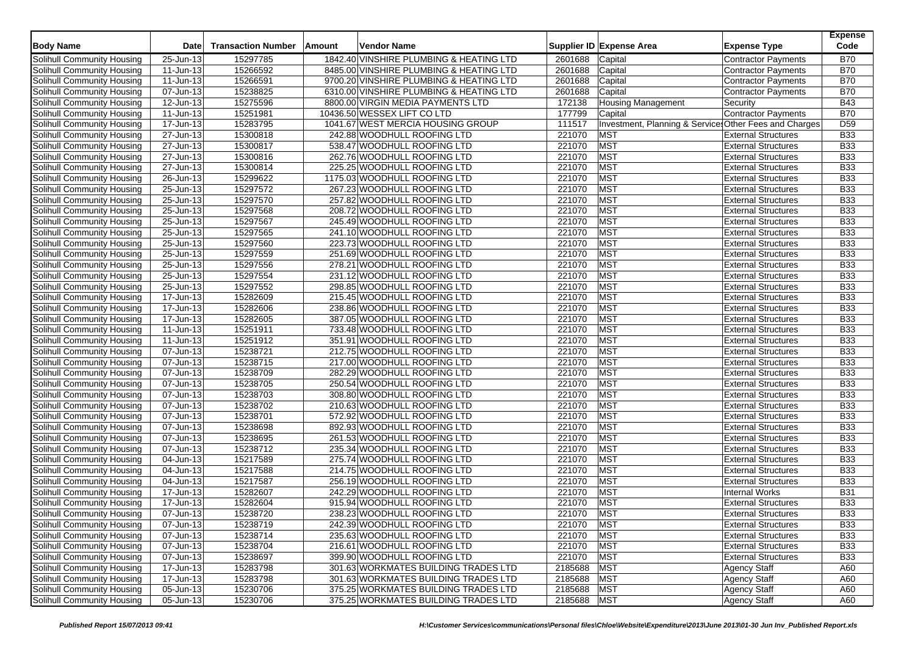| <b>Body Name</b>           | <b>Date</b>             | <b>Transaction Number</b> | Amount | Vendor Name                             |             | Supplier ID Expense Area  | <b>Expense Type</b>                                   | <b>Expense</b><br>Code |
|----------------------------|-------------------------|---------------------------|--------|-----------------------------------------|-------------|---------------------------|-------------------------------------------------------|------------------------|
| Solihull Community Housing | 25-Jun-13               | 15297785                  |        | 1842.40 VINSHIRE PLUMBING & HEATING LTD | 2601688     | Capital                   | <b>Contractor Payments</b>                            | <b>B70</b>             |
| Solihull Community Housing | 11-Jun-13               | 15266592                  |        | 8485.00 VINSHIRE PLUMBING & HEATING LTD | 2601688     | Capital                   | <b>Contractor Payments</b>                            | <b>B70</b>             |
| Solihull Community Housing | 11-Jun-13               | 15266591                  |        | 9700.20 VINSHIRE PLUMBING & HEATING LTD | 2601688     | Capital                   | <b>Contractor Payments</b>                            | <b>B70</b>             |
| Solihull Community Housing | 07-Jun-13               | 15238825                  |        | 6310.00 VINSHIRE PLUMBING & HEATING LTD | 2601688     | Capital                   | <b>Contractor Payments</b>                            | <b>B70</b>             |
| Solihull Community Housing | 12-Jun-13               | 15275596                  |        | 8800.00 VIRGIN MEDIA PAYMENTS LTD       | 172138      | <b>Housing Management</b> | Security                                              | <b>B43</b>             |
| Solihull Community Housing | 11-Jun-13               | 15251981                  |        | 10436.50 WESSEX LIFT CO LTD             | 177799      | Capital                   | <b>Contractor Payments</b>                            | <b>B70</b>             |
| Solihull Community Housing | 17-Jun-13               | 15283795                  |        | 1041.67 WEST MERCIA HOUSING GROUP       | 111517      |                           | Investment, Planning & Service Other Fees and Charges | D <sub>59</sub>        |
| Solihull Community Housing | 27-Jun-13               | 15300818                  |        | 242.88 WOODHULL ROOFING LTD             | 221070      | <b>MST</b>                | <b>External Structures</b>                            | <b>B33</b>             |
| Solihull Community Housing | 27-Jun-13               | 15300817                  |        | 538.47 WOODHULL ROOFING LTD             | 221070      | <b>MST</b>                | <b>External Structures</b>                            | <b>B33</b>             |
| Solihull Community Housing | 27-Jun-13               | 15300816                  |        | 262.76 WOODHULL ROOFING LTD             | 221070      | MST                       | <b>External Structures</b>                            | <b>B33</b>             |
| Solihull Community Housing | 27-Jun-13               | 15300814                  |        | 225.25 WOODHULL ROOFING LTD             | 221070      | <b>MST</b>                | <b>External Structures</b>                            | <b>B33</b>             |
| Solihull Community Housing | $26$ -Jun-13            | 15299622                  |        | 1175.03 WOODHULL ROOFING LTD            | 221070      | <b>MST</b>                | <b>External Structures</b>                            | <b>B33</b>             |
| Solihull Community Housing | $\overline{25}$ -Jun-13 | 15297572                  |        | 267.23 WOODHULL ROOFING LTD             | 221070      | <b>MST</b>                | <b>External Structures</b>                            | <b>B33</b>             |
| Solihull Community Housing | 25-Jun-13               | 15297570                  |        | 257.82 WOODHULL ROOFING LTD             | 221070      | <b>MST</b>                | <b>External Structures</b>                            | <b>B33</b>             |
| Solihull Community Housing | 25-Jun-13               | 15297568                  |        | 208.72 WOODHULL ROOFING LTD             | 221070      | <b>MST</b>                | <b>External Structures</b>                            | <b>B33</b>             |
| Solihull Community Housing | $\overline{25}$ -Jun-13 | 15297567                  |        | 245.49 WOODHULL ROOFING LTD             | 221070      | <b>MST</b>                | <b>External Structures</b>                            | <b>B33</b>             |
| Solihull Community Housing | 25-Jun-13               | 15297565                  |        | 241.10 WOODHULL ROOFING LTD             | 221070      | <b>MST</b>                | <b>External Structures</b>                            | <b>B33</b>             |
| Solihull Community Housing | 25-Jun-13               | 15297560                  |        | 223.73 WOODHULL ROOFING LTD             | 221070      | <b>MST</b>                | <b>External Structures</b>                            | <b>B33</b>             |
| Solihull Community Housing | 25-Jun-13               | 15297559                  |        | 251.69 WOODHULL ROOFING LTD             | 221070      | <b>MST</b>                | <b>External Structures</b>                            | <b>B33</b>             |
| Solihull Community Housing | 25-Jun-13               | 15297556                  |        | 278.21 WOODHULL ROOFING LTD             | 221070      | <b>MST</b>                | <b>External Structures</b>                            | <b>B33</b>             |
| Solihull Community Housing | $\overline{25}$ -Jun-13 | 15297554                  |        | 231.12 WOODHULL ROOFING LTD             | 221070      | <b>MST</b>                | <b>External Structures</b>                            | <b>B33</b>             |
| Solihull Community Housing | 25-Jun-13               | 15297552                  |        | 298.85 WOODHULL ROOFING LTD             | 221070      | <b>MST</b>                | <b>External Structures</b>                            | <b>B33</b>             |
| Solihull Community Housing | 17-Jun-13               | 15282609                  |        | 215.45 WOODHULL ROOFING LTD             | 221070      | <b>MST</b>                | <b>External Structures</b>                            | <b>B33</b>             |
| Solihull Community Housing | $\overline{17}$ -Jun-13 | 15282606                  |        | 238.86 WOODHULL ROOFING LTD             | 221070      | MST                       | <b>External Structures</b>                            | <b>B33</b>             |
| Solihull Community Housing | 17-Jun-13               | 15282605                  |        | 387.05 WOODHULL ROOFING LTD             | 221070      | <b>MST</b>                | <b>External Structures</b>                            | <b>B33</b>             |
| Solihull Community Housing | 11-Jun-13               | 15251911                  |        | 733.48 WOODHULL ROOFING LTD             | 221070      | <b>MST</b>                | <b>External Structures</b>                            | <b>B33</b>             |
| Solihull Community Housing | 11-Jun-13               | 15251912                  |        | 351.91 WOODHULL ROOFING LTD             | 221070      | <b>MST</b>                | <b>External Structures</b>                            | <b>B33</b>             |
| Solihull Community Housing | 07-Jun-13               | 15238721                  |        | 212.75 WOODHULL ROOFING LTD             | 221070      | <b>MST</b>                | <b>External Structures</b>                            | <b>B33</b>             |
| Solihull Community Housing | 07-Jun-13               | 15238715                  |        | 217.00 WOODHULL ROOFING LTD             | 221070      | <b>MST</b>                | <b>External Structures</b>                            | <b>B33</b>             |
| Solihull Community Housing | 07-Jun-13               | 15238709                  |        | 282.29 WOODHULL ROOFING LTD             | 221070      | <b>MST</b>                | <b>External Structures</b>                            | <b>B33</b>             |
| Solihull Community Housing | 07-Jun-13               | 15238705                  |        | 250.54 WOODHULL ROOFING LTD             | 221070      | <b>MST</b>                | <b>External Structures</b>                            | <b>B33</b>             |
| Solihull Community Housing | 07-Jun-13               | 15238703                  |        | 308.80 WOODHULL ROOFING LTD             | 221070      | MST                       | <b>External Structures</b>                            | <b>B33</b>             |
| Solihull Community Housing | 07-Jun-13               | 15238702                  |        | 210.63 WOODHULL ROOFING LTD             | 221070      | <b>MST</b>                | <b>External Structures</b>                            | <b>B33</b>             |
| Solihull Community Housing | 07-Jun-13               | 15238701                  |        | 572.92 WOODHULL ROOFING LTD             | 221070      | <b>MST</b>                | <b>External Structures</b>                            | <b>B33</b>             |
| Solihull Community Housing | 07-Jun-13               | 15238698                  |        | 892.93 WOODHULL ROOFING LTD             | 221070      | MST                       | <b>External Structures</b>                            | <b>B33</b>             |
| Solihull Community Housing | 07-Jun-13               | 15238695                  |        | 261.53 WOODHULL ROOFING LTD             | 221070      | <b>MST</b>                | <b>External Structures</b>                            | <b>B33</b>             |
| Solihull Community Housing | 07-Jun-13               | 15238712                  |        | 235.34 WOODHULL ROOFING LTD             | 221070      | <b>MST</b>                | <b>External Structures</b>                            | <b>B33</b>             |
| Solihull Community Housing | 04-Jun-13               | 15217589                  |        | 275.74 WOODHULL ROOFING LTD             | 221070      | MST                       | <b>External Structures</b>                            | <b>B33</b>             |
| Solihull Community Housing | 04-Jun-13               | 15217588                  |        | 214.75 WOODHULL ROOFING LTD             | 221070      | <b>MST</b>                | <b>External Structures</b>                            | <b>B33</b>             |
| Solihull Community Housing | 04-Jun-13               | 15217587                  |        | 256.19 WOODHULL ROOFING LTD             | 221070      | <b>MST</b>                | <b>External Structures</b>                            | <b>B33</b>             |
| Solihull Community Housing | 17-Jun-13               | 15282607                  |        | 242.29 WOODHULL ROOFING LTD             | 221070      | <b>MST</b>                | Internal Works                                        | <b>B31</b>             |
| Solihull Community Housing | 17-Jun-13               | 15282604                  |        | 915.94 WOODHULL ROOFING LTD             | 221070      | <b>MST</b>                | <b>External Structures</b>                            | <b>B33</b>             |
| Solihull Community Housing | 07-Jun-13               | 15238720                  |        | 238.23 WOODHULL ROOFING LTD             | 221070      | <b>MST</b>                | <b>External Structures</b>                            | <b>B33</b>             |
| Solihull Community Housing | 07-Jun-13               | 15238719                  |        | 242.39 WOODHULL ROOFING LTD             | 221070      | <b>MST</b>                | <b>External Structures</b>                            | <b>B33</b>             |
| Solihull Community Housing | $\overline{07}$ -Jun-13 | 15238714                  |        | 235.63 WOODHULL ROOFING LTD             | 221070      | <b>MST</b>                | <b>External Structures</b>                            | <b>B33</b>             |
| Solihull Community Housing | 07-Jun-13               | 15238704                  |        | 216.61 WOODHULL ROOFING LTD             | 221070      | <b>MST</b>                | <b>External Structures</b>                            | <b>B33</b>             |
| Solihull Community Housing | 07-Jun-13               | 15238697                  |        | 399.90 WOODHULL ROOFING LTD             | 221070      | <b>MST</b>                | <b>External Structures</b>                            | <b>B33</b>             |
| Solihull Community Housing | 17-Jun-13               | 15283798                  |        | 301.63 WORKMATES BUILDING TRADES LTD    | 2185688     | <b>MST</b>                | <b>Agency Staff</b>                                   | A60                    |
| Solihull Community Housing | 17-Jun-13               | 15283798                  |        | 301.63 WORKMATES BUILDING TRADES LTD    | 2185688     | <b>MST</b>                | <b>Agency Staff</b>                                   | A60                    |
| Solihull Community Housing | 05-Jun-13               | 15230706                  |        | 375.25 WORKMATES BUILDING TRADES LTD    | 2185688     | <b>MST</b>                | <b>Agency Staff</b>                                   | A60                    |
| Solihull Community Housing | 05-Jun-13               | 15230706                  |        | 375.25 WORKMATES BUILDING TRADES LTD    | 2185688 MST |                           | <b>Agency Staff</b>                                   | A60                    |